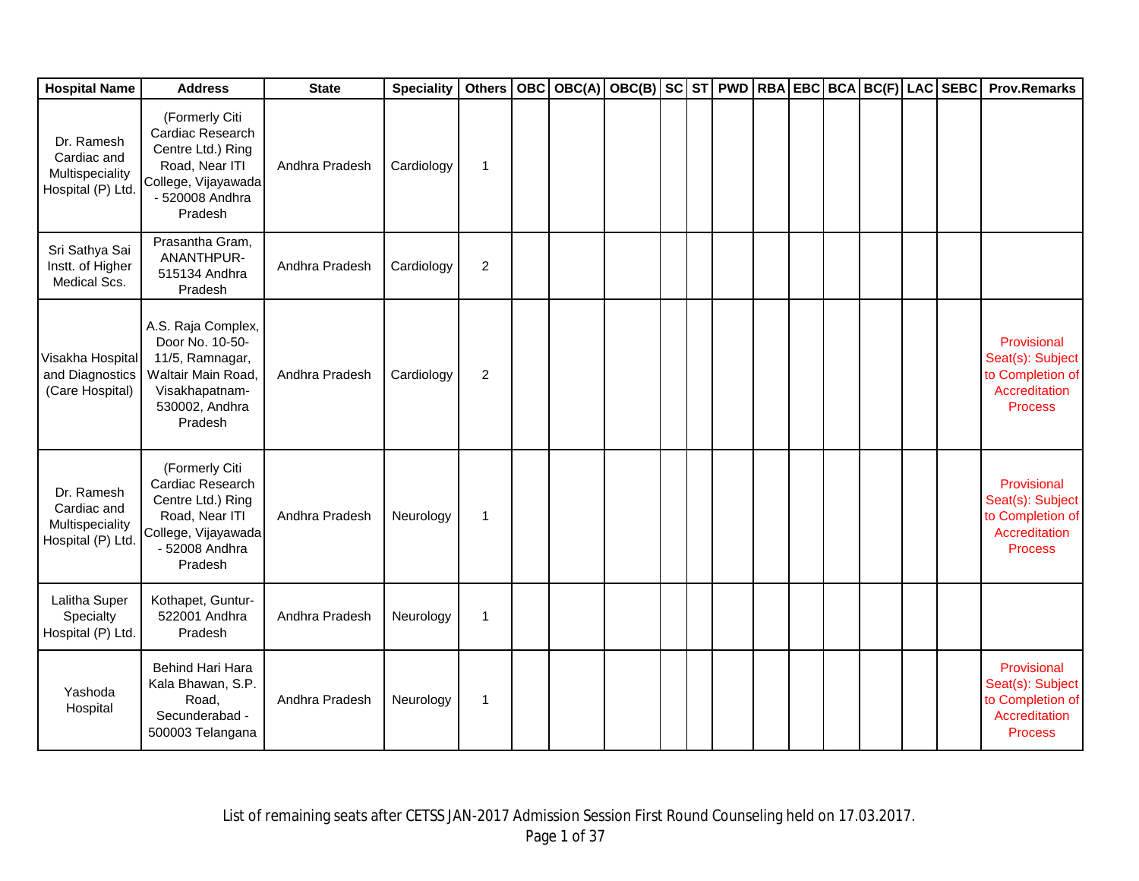| <b>Hospital Name</b>                                              | <b>Address</b>                                                                                                                 | <b>State</b>   | <b>Speciality</b> |                | Others   OBC   OBC(A) | OBC(B) SC ST PWD RBA EBC BCA BC(F) LAC SEBC |  |  |  |  | <b>Prov.Remarks</b>                                                                    |
|-------------------------------------------------------------------|--------------------------------------------------------------------------------------------------------------------------------|----------------|-------------------|----------------|-----------------------|---------------------------------------------|--|--|--|--|----------------------------------------------------------------------------------------|
| Dr. Ramesh<br>Cardiac and<br>Multispeciality<br>Hospital (P) Ltd  | (Formerly Citi<br>Cardiac Research<br>Centre Ltd.) Ring<br>Road, Near ITI<br>College, Vijayawada<br>- 520008 Andhra<br>Pradesh | Andhra Pradesh | Cardiology        | 1              |                       |                                             |  |  |  |  |                                                                                        |
| Sri Sathya Sai<br>Instt. of Higher<br>Medical Scs.                | Prasantha Gram,<br>ANANTHPUR-<br>515134 Andhra<br>Pradesh                                                                      | Andhra Pradesh | Cardiology        | $\overline{2}$ |                       |                                             |  |  |  |  |                                                                                        |
| Visakha Hospital<br>and Diagnostics<br>(Care Hospital)            | A.S. Raja Complex,<br>Door No. 10-50-<br>11/5, Ramnagar,<br>Waltair Main Road,<br>Visakhapatnam-<br>530002, Andhra<br>Pradesh  | Andhra Pradesh | Cardiology        | $\overline{2}$ |                       |                                             |  |  |  |  | Provisional<br>Seat(s): Subject<br>to Completion of<br>Accreditation<br><b>Process</b> |
| Dr. Ramesh<br>Cardiac and<br>Multispeciality<br>Hospital (P) Ltd. | (Formerly Citi<br>Cardiac Research<br>Centre Ltd.) Ring<br>Road, Near ITI<br>College, Vijayawada<br>- 52008 Andhra<br>Pradesh  | Andhra Pradesh | Neurology         | 1              |                       |                                             |  |  |  |  | Provisional<br>Seat(s): Subject<br>to Completion of<br>Accreditation<br><b>Process</b> |
| Lalitha Super<br>Specialty<br>Hospital (P) Ltd.                   | Kothapet, Guntur-<br>522001 Andhra<br>Pradesh                                                                                  | Andhra Pradesh | Neurology         | $\mathbf{1}$   |                       |                                             |  |  |  |  |                                                                                        |
| Yashoda<br>Hospital                                               | Behind Hari Hara<br>Kala Bhawan, S.P.<br>Road,<br>Secunderabad -<br>500003 Telangana                                           | Andhra Pradesh | Neurology         | 1              |                       |                                             |  |  |  |  | Provisional<br>Seat(s): Subject<br>to Completion of<br>Accreditation<br><b>Process</b> |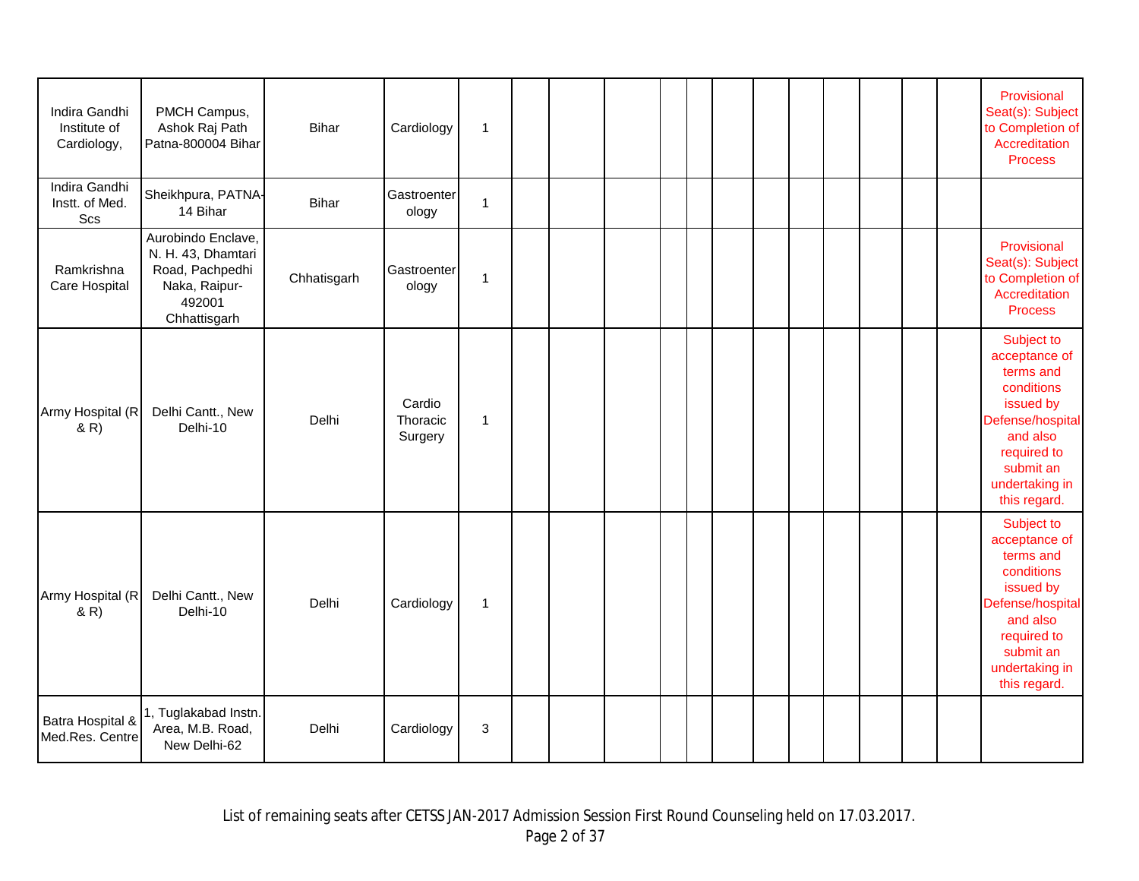| Indira Gandhi<br>Institute of<br>Cardiology, | PMCH Campus,<br>Ashok Raj Path<br>Patna-800004 Bihar                                                   | Bihar       | Cardiology                    | $\mathbf{1}$ |  |  |  |  |  |  | Provisional<br>Seat(s): Subject<br>to Completion of<br>Accreditation<br><b>Process</b>                                                                            |
|----------------------------------------------|--------------------------------------------------------------------------------------------------------|-------------|-------------------------------|--------------|--|--|--|--|--|--|-------------------------------------------------------------------------------------------------------------------------------------------------------------------|
| Indira Gandhi<br>Instt. of Med.<br>Scs       | Sheikhpura, PATNA-<br>14 Bihar                                                                         | Bihar       | Gastroenter<br>ology          | $\mathbf{1}$ |  |  |  |  |  |  |                                                                                                                                                                   |
| Ramkrishna<br>Care Hospital                  | Aurobindo Enclave,<br>N. H. 43, Dhamtari<br>Road, Pachpedhi<br>Naka, Raipur-<br>492001<br>Chhattisgarh | Chhatisgarh | Gastroenter<br>ology          | 1            |  |  |  |  |  |  | Provisional<br>Seat(s): Subject<br>to Completion of<br>Accreditation<br><b>Process</b>                                                                            |
| Army Hospital (R<br>(R)                      | Delhi Cantt., New<br>Delhi-10                                                                          | Delhi       | Cardio<br>Thoracic<br>Surgery | $\mathbf{1}$ |  |  |  |  |  |  | Subject to<br>acceptance of<br>terms and<br>conditions<br>issued by<br>Defense/hospital<br>and also<br>required to<br>submit an<br>undertaking in<br>this regard. |
| Army Hospital (R<br>(R)                      | Delhi Cantt., New<br>Delhi-10                                                                          | Delhi       | Cardiology                    | 1            |  |  |  |  |  |  | Subject to<br>acceptance of<br>terms and<br>conditions<br>issued by<br>Defense/hospital<br>and also<br>required to<br>submit an<br>undertaking in<br>this regard. |
| Batra Hospital &<br>Med.Res. Centre          | 1, Tuglakabad Instn.<br>Area, M.B. Road,<br>New Delhi-62                                               | Delhi       | Cardiology                    | 3            |  |  |  |  |  |  |                                                                                                                                                                   |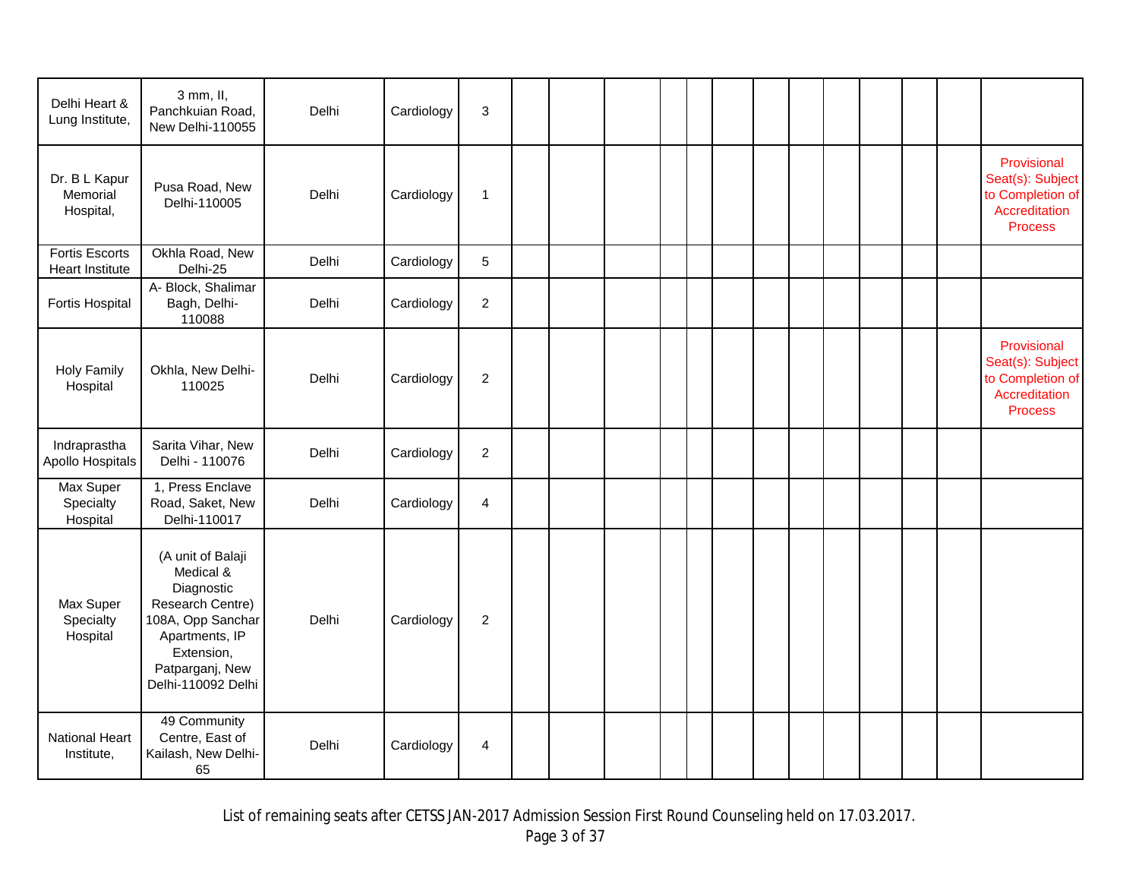| Delhi Heart &<br>Lung Institute,                | 3 mm, II,<br>Panchkuian Road,<br>New Delhi-110055                                                                                                              | Delhi | Cardiology | 3              |  |  |  |  |  |  |                                                                                        |
|-------------------------------------------------|----------------------------------------------------------------------------------------------------------------------------------------------------------------|-------|------------|----------------|--|--|--|--|--|--|----------------------------------------------------------------------------------------|
| Dr. B L Kapur<br>Memorial<br>Hospital,          | Pusa Road, New<br>Delhi-110005                                                                                                                                 | Delhi | Cardiology | 1              |  |  |  |  |  |  | Provisional<br>Seat(s): Subject<br>to Completion of<br>Accreditation<br><b>Process</b> |
| <b>Fortis Escorts</b><br><b>Heart Institute</b> | Okhla Road, New<br>Delhi-25                                                                                                                                    | Delhi | Cardiology | 5              |  |  |  |  |  |  |                                                                                        |
| <b>Fortis Hospital</b>                          | A- Block, Shalimar<br>Bagh, Delhi-<br>110088                                                                                                                   | Delhi | Cardiology | $\overline{c}$ |  |  |  |  |  |  |                                                                                        |
| <b>Holy Family</b><br>Hospital                  | Okhla, New Delhi-<br>110025                                                                                                                                    | Delhi | Cardiology | $\overline{c}$ |  |  |  |  |  |  | Provisional<br>Seat(s): Subject<br>to Completion of<br>Accreditation<br><b>Process</b> |
| Indraprastha<br>Apollo Hospitals                | Sarita Vihar, New<br>Delhi - 110076                                                                                                                            | Delhi | Cardiology | $\overline{c}$ |  |  |  |  |  |  |                                                                                        |
| Max Super<br>Specialty<br>Hospital              | 1, Press Enclave<br>Road, Saket, New<br>Delhi-110017                                                                                                           | Delhi | Cardiology | 4              |  |  |  |  |  |  |                                                                                        |
| Max Super<br>Specialty<br>Hospital              | (A unit of Balaji<br>Medical &<br>Diagnostic<br>Research Centre)<br>108A, Opp Sanchar<br>Apartments, IP<br>Extension,<br>Patparganj, New<br>Delhi-110092 Delhi | Delhi | Cardiology | $\overline{c}$ |  |  |  |  |  |  |                                                                                        |
| <b>National Heart</b><br>Institute,             | 49 Community<br>Centre, East of<br>Kailash, New Delhi-<br>65                                                                                                   | Delhi | Cardiology | 4              |  |  |  |  |  |  |                                                                                        |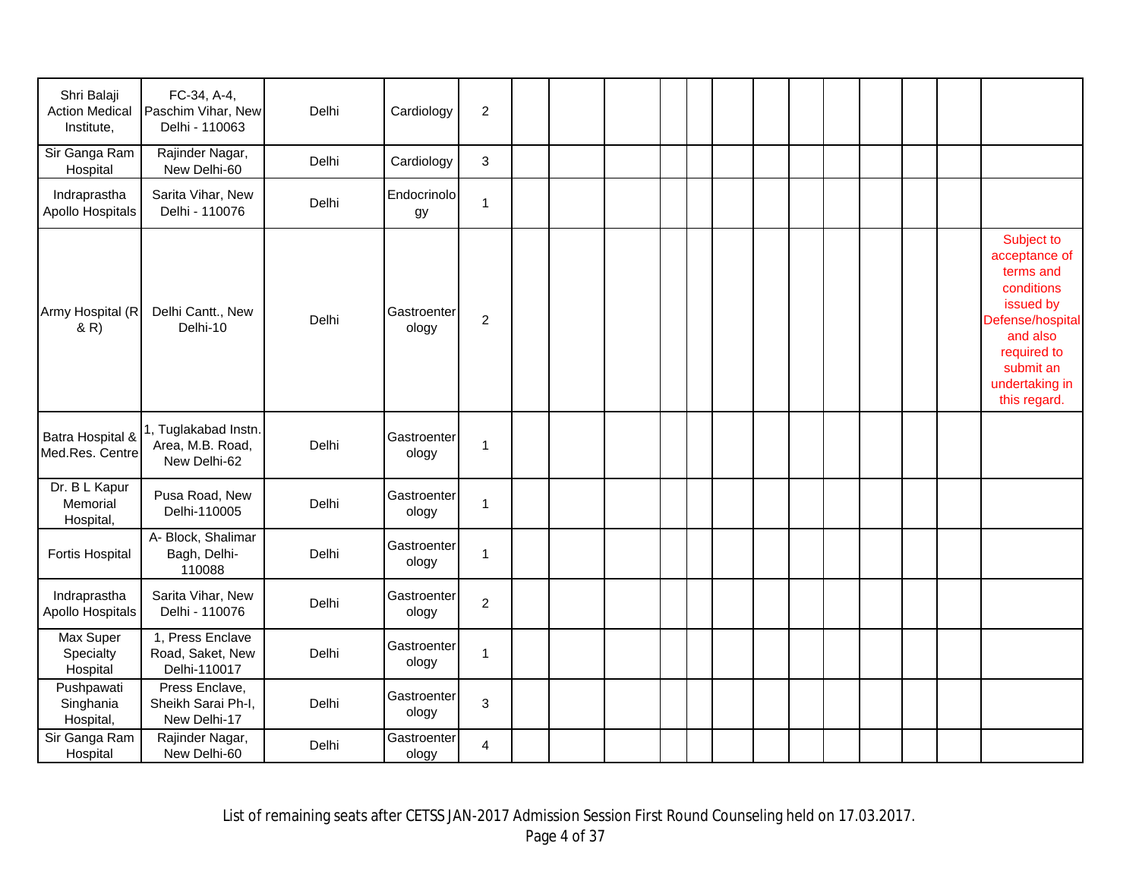| Shri Balaji<br><b>Action Medical</b><br>Institute,<br>Sir Ganga Ram<br>Hospital | FC-34, A-4,<br>Paschim Vihar, New<br>Delhi - 110063<br>Rajinder Nagar,<br>New Delhi-60 | Delhi<br>Delhi | Cardiology<br>Cardiology | $\overline{c}$<br>3 |  |  |  |  |  |  |                                                                                                                                                                   |
|---------------------------------------------------------------------------------|----------------------------------------------------------------------------------------|----------------|--------------------------|---------------------|--|--|--|--|--|--|-------------------------------------------------------------------------------------------------------------------------------------------------------------------|
| Indraprastha<br>Apollo Hospitals                                                | Sarita Vihar, New<br>Delhi - 110076                                                    | Delhi          | Endocrinolo<br>gу        | $\mathbf{1}$        |  |  |  |  |  |  |                                                                                                                                                                   |
| Army Hospital (R<br>& R)                                                        | Delhi Cantt., New<br>Delhi-10                                                          | Delhi          | Gastroenter<br>ology     | $\overline{c}$      |  |  |  |  |  |  | Subject to<br>acceptance of<br>terms and<br>conditions<br>issued by<br>Defense/hospital<br>and also<br>required to<br>submit an<br>undertaking in<br>this regard. |
| Batra Hospital &<br>Med.Res. Centre                                             | 1, Tuglakabad Instn.<br>Area, M.B. Road,<br>New Delhi-62                               | Delhi          | Gastroenter<br>ology     | 1                   |  |  |  |  |  |  |                                                                                                                                                                   |
| Dr. B L Kapur<br>Memorial<br>Hospital,                                          | Pusa Road, New<br>Delhi-110005                                                         | Delhi          | Gastroenter<br>ology     | 1                   |  |  |  |  |  |  |                                                                                                                                                                   |
| <b>Fortis Hospital</b>                                                          | A- Block, Shalimar<br>Bagh, Delhi-<br>110088                                           | Delhi          | Gastroenter<br>ology     | $\mathbf 1$         |  |  |  |  |  |  |                                                                                                                                                                   |
| Indraprastha<br>Apollo Hospitals                                                | Sarita Vihar, New<br>Delhi - 110076                                                    | Delhi          | Gastroenter<br>ology     | $\overline{c}$      |  |  |  |  |  |  |                                                                                                                                                                   |
| Max Super<br>Specialty<br>Hospital                                              | 1, Press Enclave<br>Road, Saket, New<br>Delhi-110017                                   | Delhi          | Gastroenter<br>ology     | 1                   |  |  |  |  |  |  |                                                                                                                                                                   |
| Pushpawati<br>Singhania<br>Hospital,                                            | Press Enclave,<br>Sheikh Sarai Ph-I,<br>New Delhi-17                                   | Delhi          | Gastroenter<br>ology     | 3                   |  |  |  |  |  |  |                                                                                                                                                                   |
| Sir Ganga Ram<br>Hospital                                                       | Rajinder Nagar,<br>New Delhi-60                                                        | Delhi          | Gastroenter<br>ology     | 4                   |  |  |  |  |  |  |                                                                                                                                                                   |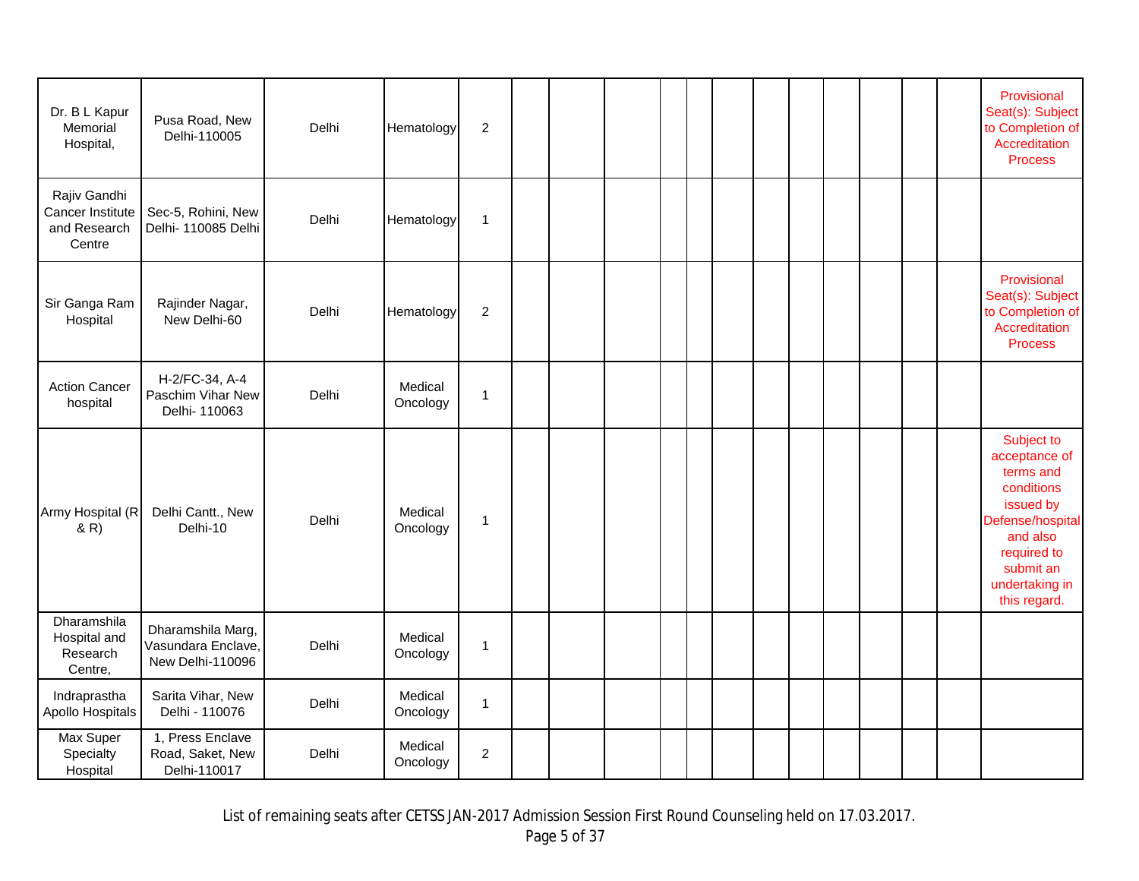| Dr. B L Kapur<br>Memorial<br>Hospital,                     | Pusa Road, New<br>Delhi-110005                              | Delhi | Hematology          | $\overline{2}$ |  |  |  |  |  |  | Provisional<br>Seat(s): Subject<br>to Completion of<br>Accreditation<br><b>Process</b>                                                                            |
|------------------------------------------------------------|-------------------------------------------------------------|-------|---------------------|----------------|--|--|--|--|--|--|-------------------------------------------------------------------------------------------------------------------------------------------------------------------|
| Rajiv Gandhi<br>Cancer Institute<br>and Research<br>Centre | Sec-5, Rohini, New<br>Delhi-110085 Delhi                    | Delhi | Hematology          | $\mathbf{1}$   |  |  |  |  |  |  |                                                                                                                                                                   |
| Sir Ganga Ram<br>Hospital                                  | Rajinder Nagar,<br>New Delhi-60                             | Delhi | Hematology          | $\overline{2}$ |  |  |  |  |  |  | Provisional<br>Seat(s): Subject<br>to Completion of<br>Accreditation<br><b>Process</b>                                                                            |
| <b>Action Cancer</b><br>hospital                           | H-2/FC-34, A-4<br>Paschim Vihar New<br>Delhi- 110063        | Delhi | Medical<br>Oncology | $\mathbf{1}$   |  |  |  |  |  |  |                                                                                                                                                                   |
| Army Hospital (R<br>(R)                                    | Delhi Cantt., New<br>Delhi-10                               | Delhi | Medical<br>Oncology | $\mathbf{1}$   |  |  |  |  |  |  | Subject to<br>acceptance of<br>terms and<br>conditions<br>issued by<br>Defense/hospital<br>and also<br>required to<br>submit an<br>undertaking in<br>this regard. |
| Dharamshila<br>Hospital and<br>Research<br>Centre,         | Dharamshila Marg,<br>Vasundara Enclave,<br>New Delhi-110096 | Delhi | Medical<br>Oncology | $\mathbf{1}$   |  |  |  |  |  |  |                                                                                                                                                                   |
| Indraprastha<br>Apollo Hospitals                           | Sarita Vihar, New<br>Delhi - 110076                         | Delhi | Medical<br>Oncology | $\mathbf{1}$   |  |  |  |  |  |  |                                                                                                                                                                   |
| Max Super<br>Specialty<br>Hospital                         | 1, Press Enclave<br>Road, Saket, New<br>Delhi-110017        | Delhi | Medical<br>Oncology | $\overline{c}$ |  |  |  |  |  |  |                                                                                                                                                                   |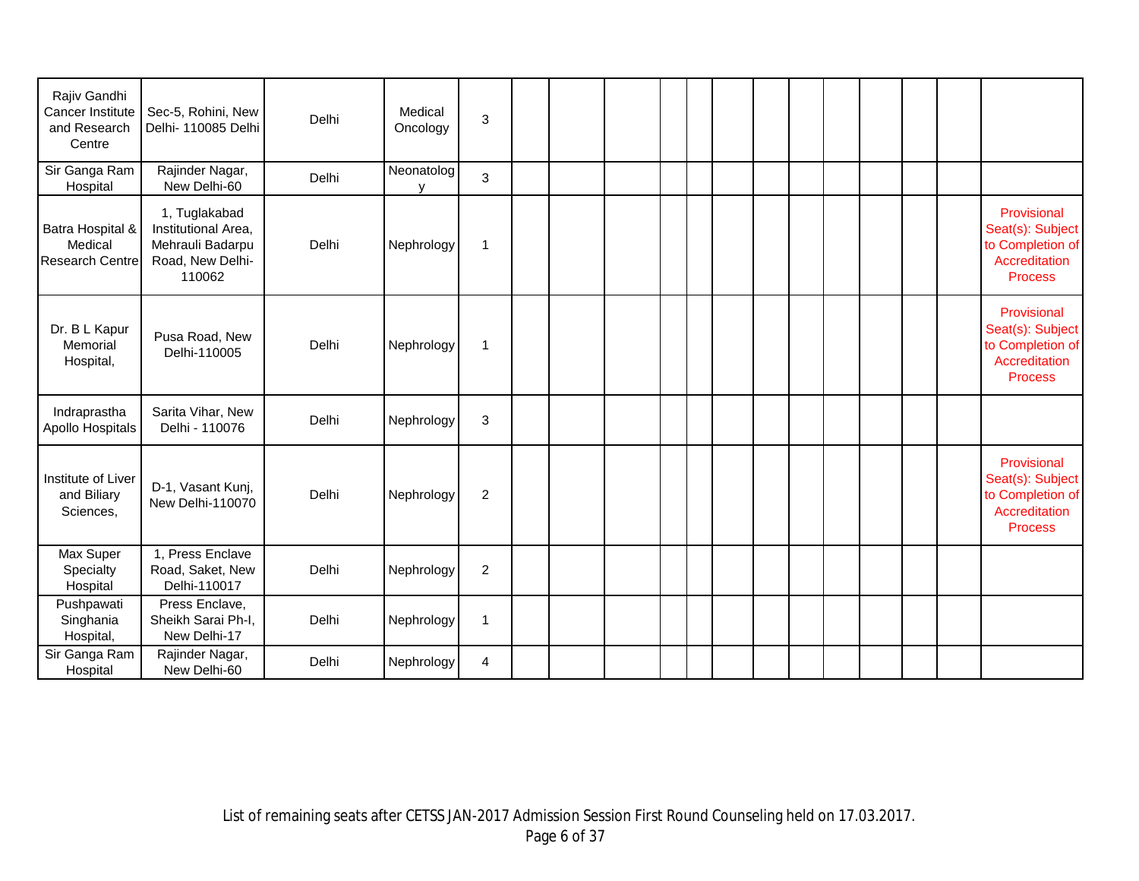| Rajiv Gandhi<br>Cancer Institute<br>and Research<br>Centre | Sec-5, Rohini, New<br>Delhi- 110085 Delhi                                              | Delhi | Medical<br>Oncology | 3                       |  |  |  |  |  |  |                                                                                        |
|------------------------------------------------------------|----------------------------------------------------------------------------------------|-------|---------------------|-------------------------|--|--|--|--|--|--|----------------------------------------------------------------------------------------|
| Sir Ganga Ram<br>Hospital                                  | Rajinder Nagar,<br>New Delhi-60                                                        | Delhi | Neonatolog<br>v     | 3                       |  |  |  |  |  |  |                                                                                        |
| Batra Hospital &<br>Medical<br><b>Research Centre</b>      | 1, Tuglakabad<br>Institutional Area,<br>Mehrauli Badarpu<br>Road, New Delhi-<br>110062 | Delhi | Nephrology          | $\mathbf{1}$            |  |  |  |  |  |  | Provisional<br>Seat(s): Subject<br>to Completion of<br>Accreditation<br><b>Process</b> |
| Dr. B L Kapur<br>Memorial<br>Hospital,                     | Pusa Road, New<br>Delhi-110005                                                         | Delhi | Nephrology          | $\mathbf{1}$            |  |  |  |  |  |  | Provisional<br>Seat(s): Subject<br>to Completion of<br>Accreditation<br><b>Process</b> |
| Indraprastha<br>Apollo Hospitals                           | Sarita Vihar, New<br>Delhi - 110076                                                    | Delhi | Nephrology          | 3                       |  |  |  |  |  |  |                                                                                        |
| Institute of Liver<br>and Biliary<br>Sciences,             | D-1, Vasant Kunj,<br>New Delhi-110070                                                  | Delhi | Nephrology          | $\overline{c}$          |  |  |  |  |  |  | Provisional<br>Seat(s): Subject<br>to Completion of<br>Accreditation<br><b>Process</b> |
| Max Super<br>Specialty<br>Hospital                         | 1, Press Enclave<br>Road, Saket, New<br>Delhi-110017                                   | Delhi | Nephrology          | $\overline{2}$          |  |  |  |  |  |  |                                                                                        |
| Pushpawati<br>Singhania<br>Hospital,                       | Press Enclave,<br>Sheikh Sarai Ph-I,<br>New Delhi-17                                   | Delhi | Nephrology          | $\mathbf{1}$            |  |  |  |  |  |  |                                                                                        |
| Sir Ganga Ram<br>Hospital                                  | Rajinder Nagar,<br>New Delhi-60                                                        | Delhi | Nephrology          | $\overline{\mathbf{4}}$ |  |  |  |  |  |  |                                                                                        |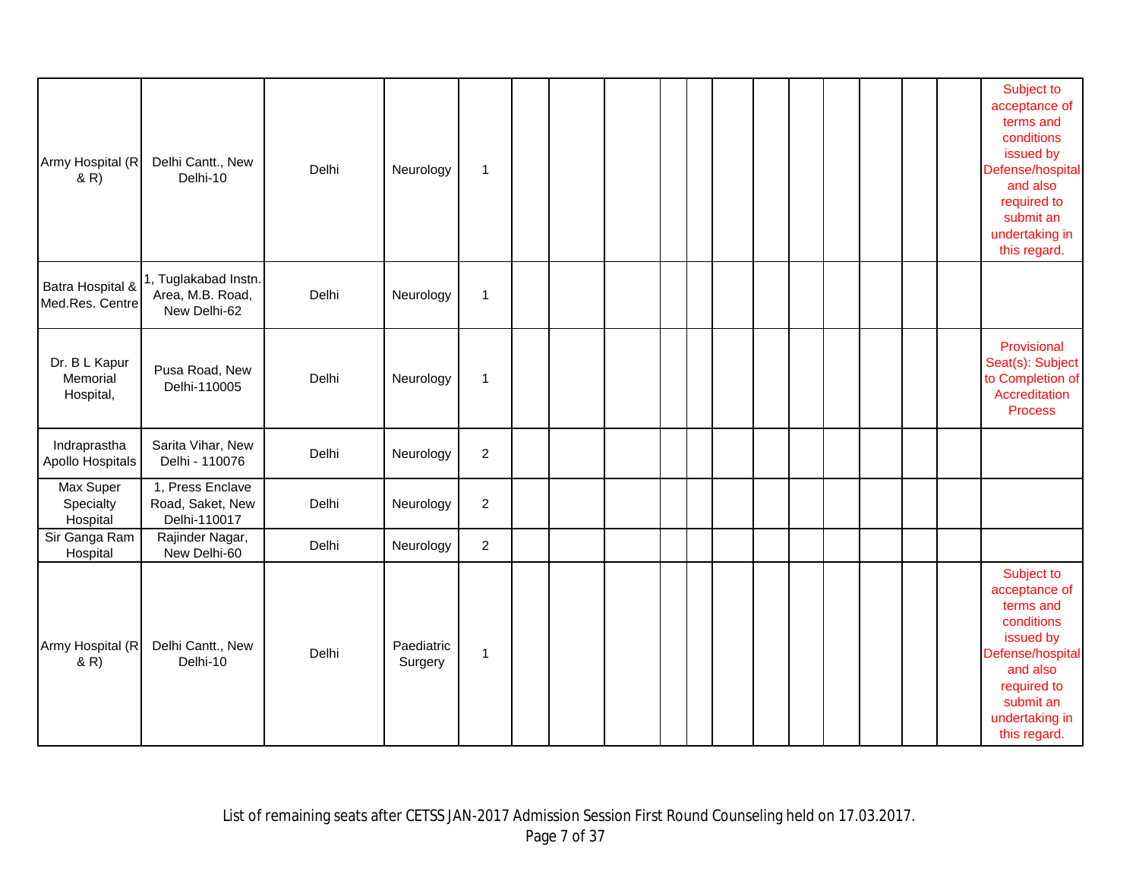| Army Hospital (R<br>(R)                | Delhi Cantt., New<br>Delhi-10                            | Delhi | Neurology             | 1              |  |  |  |  |  |  | Subject to<br>acceptance of<br>terms and<br>conditions<br>issued by<br>Defense/hospital<br>and also<br>required to<br>submit an<br>undertaking in<br>this regard. |
|----------------------------------------|----------------------------------------------------------|-------|-----------------------|----------------|--|--|--|--|--|--|-------------------------------------------------------------------------------------------------------------------------------------------------------------------|
| Batra Hospital &<br>Med.Res. Centre    | 1, Tuglakabad Instn.<br>Area, M.B. Road,<br>New Delhi-62 | Delhi | Neurology             | 1              |  |  |  |  |  |  |                                                                                                                                                                   |
| Dr. B L Kapur<br>Memorial<br>Hospital, | Pusa Road, New<br>Delhi-110005                           | Delhi | Neurology             | 1              |  |  |  |  |  |  | Provisional<br>Seat(s): Subject<br>to Completion of<br>Accreditation<br><b>Process</b>                                                                            |
| Indraprastha<br>Apollo Hospitals       | Sarita Vihar, New<br>Delhi - 110076                      | Delhi | Neurology             | 2              |  |  |  |  |  |  |                                                                                                                                                                   |
| Max Super<br>Specialty<br>Hospital     | 1, Press Enclave<br>Road, Saket, New<br>Delhi-110017     | Delhi | Neurology             | $\overline{a}$ |  |  |  |  |  |  |                                                                                                                                                                   |
| Sir Ganga Ram<br>Hospital              | Rajinder Nagar,<br>New Delhi-60                          | Delhi | Neurology             | $\overline{c}$ |  |  |  |  |  |  |                                                                                                                                                                   |
| Army Hospital (R<br>(R)                | Delhi Cantt., New<br>Delhi-10                            | Delhi | Paediatric<br>Surgery | 1              |  |  |  |  |  |  | Subject to<br>acceptance of<br>terms and<br>conditions<br>issued by<br>Defense/hospital<br>and also<br>required to<br>submit an<br>undertaking in<br>this regard. |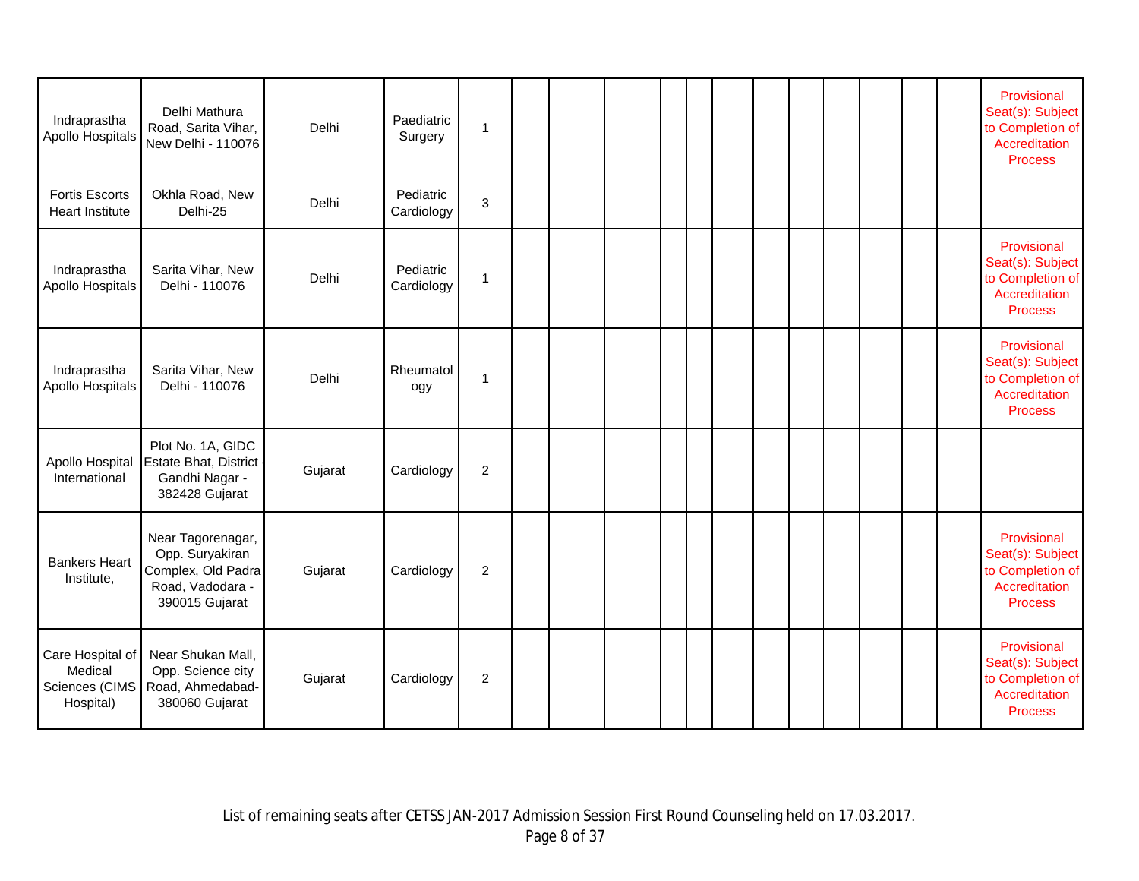| Indraprastha<br>Apollo Hospitals                           | Delhi Mathura<br>Road, Sarita Vihar,<br>New Delhi - 110076                                       | Delhi   | Paediatric<br>Surgery   | 1              |  |  |  |  |  |  | Provisional<br>Seat(s): Subject<br>to Completion of<br>Accreditation<br><b>Process</b> |
|------------------------------------------------------------|--------------------------------------------------------------------------------------------------|---------|-------------------------|----------------|--|--|--|--|--|--|----------------------------------------------------------------------------------------|
| <b>Fortis Escorts</b><br><b>Heart Institute</b>            | Okhla Road, New<br>Delhi-25                                                                      | Delhi   | Pediatric<br>Cardiology | 3              |  |  |  |  |  |  |                                                                                        |
| Indraprastha<br>Apollo Hospitals                           | Sarita Vihar, New<br>Delhi - 110076                                                              | Delhi   | Pediatric<br>Cardiology | 1              |  |  |  |  |  |  | Provisional<br>Seat(s): Subject<br>to Completion of<br>Accreditation<br><b>Process</b> |
| Indraprastha<br>Apollo Hospitals                           | Sarita Vihar, New<br>Delhi - 110076                                                              | Delhi   | Rheumatol<br>ogy        | 1              |  |  |  |  |  |  | Provisional<br>Seat(s): Subject<br>to Completion of<br>Accreditation<br><b>Process</b> |
| Apollo Hospital<br>International                           | Plot No. 1A, GIDC<br>Estate Bhat, District<br>Gandhi Nagar -<br>382428 Gujarat                   | Gujarat | Cardiology              | $\overline{c}$ |  |  |  |  |  |  |                                                                                        |
| <b>Bankers Heart</b><br>Institute,                         | Near Tagorenagar,<br>Opp. Suryakiran<br>Complex, Old Padra<br>Road, Vadodara -<br>390015 Gujarat | Gujarat | Cardiology              | $\overline{c}$ |  |  |  |  |  |  | Provisional<br>Seat(s): Subject<br>to Completion of<br>Accreditation<br><b>Process</b> |
| Care Hospital of<br>Medical<br>Sciences (CIMS<br>Hospital) | Near Shukan Mall,<br>Opp. Science city<br>Road, Ahmedabad-<br>380060 Gujarat                     | Gujarat | Cardiology              | $\overline{c}$ |  |  |  |  |  |  | Provisional<br>Seat(s): Subject<br>to Completion of<br>Accreditation<br><b>Process</b> |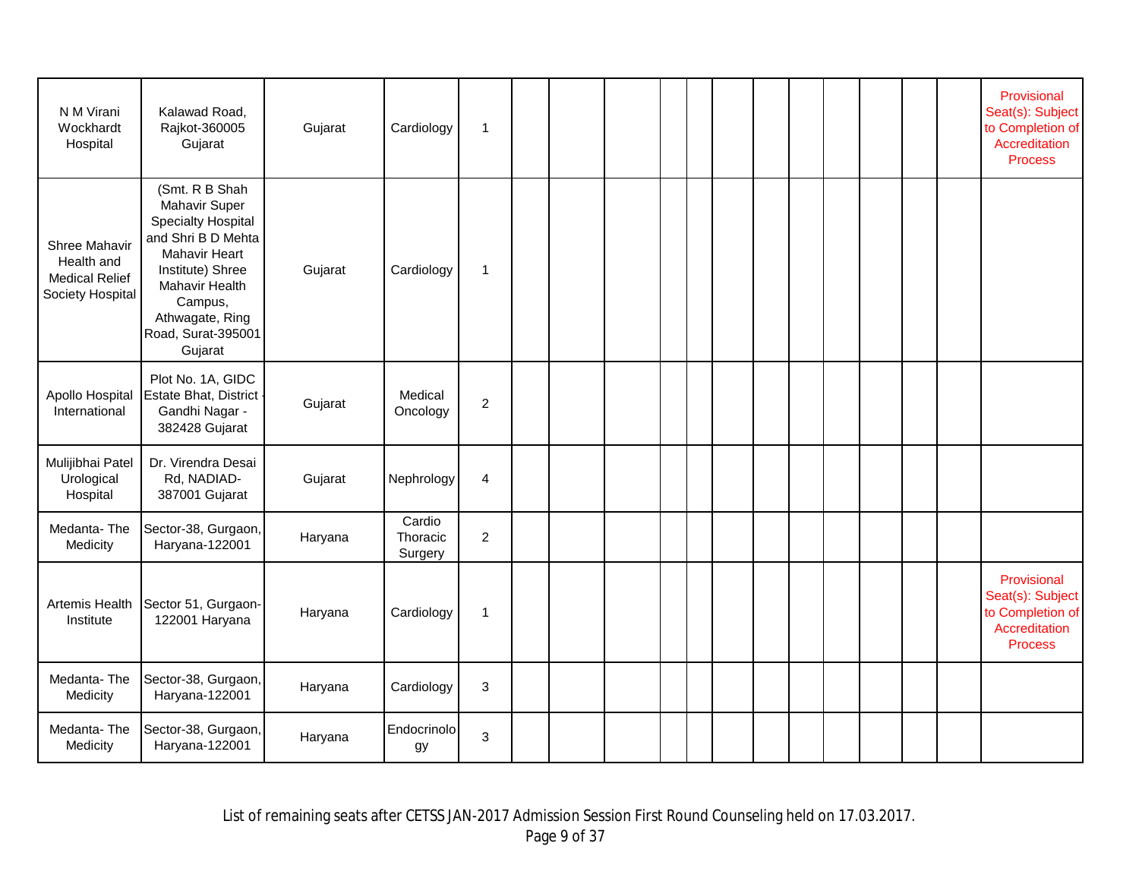| N M Virani<br>Wockhardt<br>Hospital                                      | Kalawad Road,<br>Rajkot-360005<br>Gujarat                                                                                                                                                                       | Gujarat | Cardiology                    | 1              |  |  |  |  |  |  | Provisional<br>Seat(s): Subject<br>to Completion of<br>Accreditation<br><b>Process</b> |
|--------------------------------------------------------------------------|-----------------------------------------------------------------------------------------------------------------------------------------------------------------------------------------------------------------|---------|-------------------------------|----------------|--|--|--|--|--|--|----------------------------------------------------------------------------------------|
| Shree Mahavir<br>Health and<br><b>Medical Relief</b><br>Society Hospital | (Smt. R B Shah<br>Mahavir Super<br><b>Specialty Hospital</b><br>and Shri B D Mehta<br><b>Mahavir Heart</b><br>Institute) Shree<br>Mahavir Health<br>Campus,<br>Athwagate, Ring<br>Road, Surat-395001<br>Gujarat | Gujarat | Cardiology                    | $\mathbf 1$    |  |  |  |  |  |  |                                                                                        |
| Apollo Hospital<br>International                                         | Plot No. 1A, GIDC<br>Estate Bhat, District<br>Gandhi Nagar -<br>382428 Gujarat                                                                                                                                  | Gujarat | Medical<br>Oncology           | $\overline{c}$ |  |  |  |  |  |  |                                                                                        |
| Mulijibhai Patel<br>Urological<br>Hospital                               | Dr. Virendra Desai<br>Rd, NADIAD-<br>387001 Gujarat                                                                                                                                                             | Gujarat | Nephrology                    | 4              |  |  |  |  |  |  |                                                                                        |
| Medanta-The<br>Medicity                                                  | Sector-38, Gurgaon,<br>Haryana-122001                                                                                                                                                                           | Haryana | Cardio<br>Thoracic<br>Surgery | $\overline{c}$ |  |  |  |  |  |  |                                                                                        |
| Artemis Health<br>Institute                                              | Sector 51, Gurgaon-<br>122001 Haryana                                                                                                                                                                           | Haryana | Cardiology                    | 1              |  |  |  |  |  |  | Provisional<br>Seat(s): Subject<br>to Completion of<br>Accreditation<br><b>Process</b> |
| Medanta-The<br>Medicity                                                  | Sector-38, Gurgaon,<br>Haryana-122001                                                                                                                                                                           | Haryana | Cardiology                    | 3              |  |  |  |  |  |  |                                                                                        |
| Medanta-The<br>Medicity                                                  | Sector-38, Gurgaon,<br>Haryana-122001                                                                                                                                                                           | Haryana | Endocrinolo<br>gу             | 3              |  |  |  |  |  |  |                                                                                        |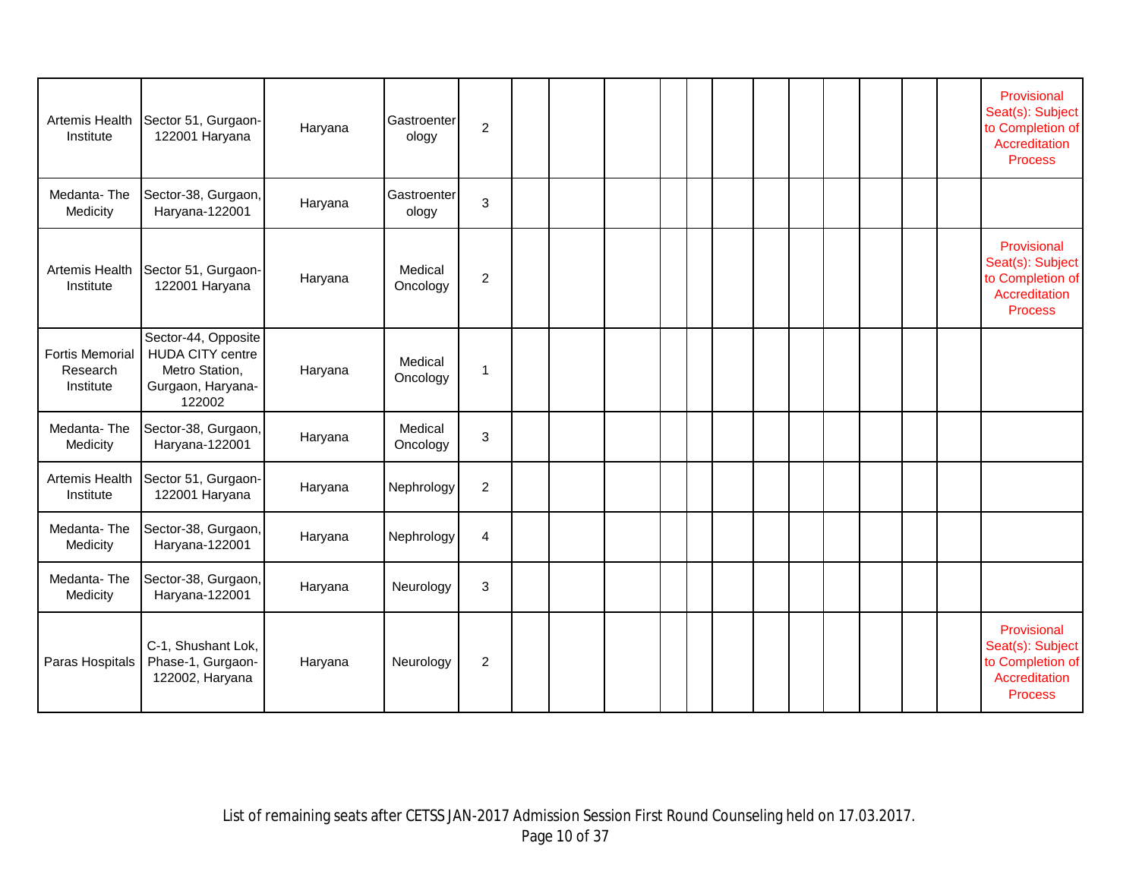| Artemis Health<br>Institute                     | Sector 51, Gurgaon-<br>122001 Haryana                                                           | Haryana | Gastroenter<br>ology | $\overline{2}$ |  |  |  |  |  |  | Provisional<br>Seat(s): Subject<br>to Completion of<br>Accreditation<br><b>Process</b> |
|-------------------------------------------------|-------------------------------------------------------------------------------------------------|---------|----------------------|----------------|--|--|--|--|--|--|----------------------------------------------------------------------------------------|
| Medanta-The<br>Medicity                         | Sector-38, Gurgaon,<br>Haryana-122001                                                           | Haryana | Gastroenter<br>ology | 3              |  |  |  |  |  |  |                                                                                        |
| Artemis Health<br>Institute                     | Sector 51, Gurgaon-<br>122001 Haryana                                                           | Haryana | Medical<br>Oncology  | $\overline{c}$ |  |  |  |  |  |  | Provisional<br>Seat(s): Subject<br>to Completion of<br>Accreditation<br><b>Process</b> |
| <b>Fortis Memorial</b><br>Research<br>Institute | Sector-44, Opposite<br><b>HUDA CITY centre</b><br>Metro Station,<br>Gurgaon, Haryana-<br>122002 | Haryana | Medical<br>Oncology  | $\mathbf{1}$   |  |  |  |  |  |  |                                                                                        |
| Medanta-The<br>Medicity                         | Sector-38, Gurgaon,<br>Haryana-122001                                                           | Haryana | Medical<br>Oncology  | 3              |  |  |  |  |  |  |                                                                                        |
| Artemis Health<br>Institute                     | Sector 51, Gurgaon-<br>122001 Haryana                                                           | Haryana | Nephrology           | $\overline{c}$ |  |  |  |  |  |  |                                                                                        |
| Medanta-The<br>Medicity                         | Sector-38, Gurgaon,<br>Haryana-122001                                                           | Haryana | Nephrology           | $\overline{4}$ |  |  |  |  |  |  |                                                                                        |
| Medanta-The<br>Medicity                         | Sector-38, Gurgaon,<br>Haryana-122001                                                           | Haryana | Neurology            | 3              |  |  |  |  |  |  |                                                                                        |
| Paras Hospitals                                 | C-1, Shushant Lok,<br>Phase-1, Gurgaon-<br>122002, Haryana                                      | Haryana | Neurology            | 2              |  |  |  |  |  |  | Provisional<br>Seat(s): Subject<br>to Completion of<br>Accreditation<br><b>Process</b> |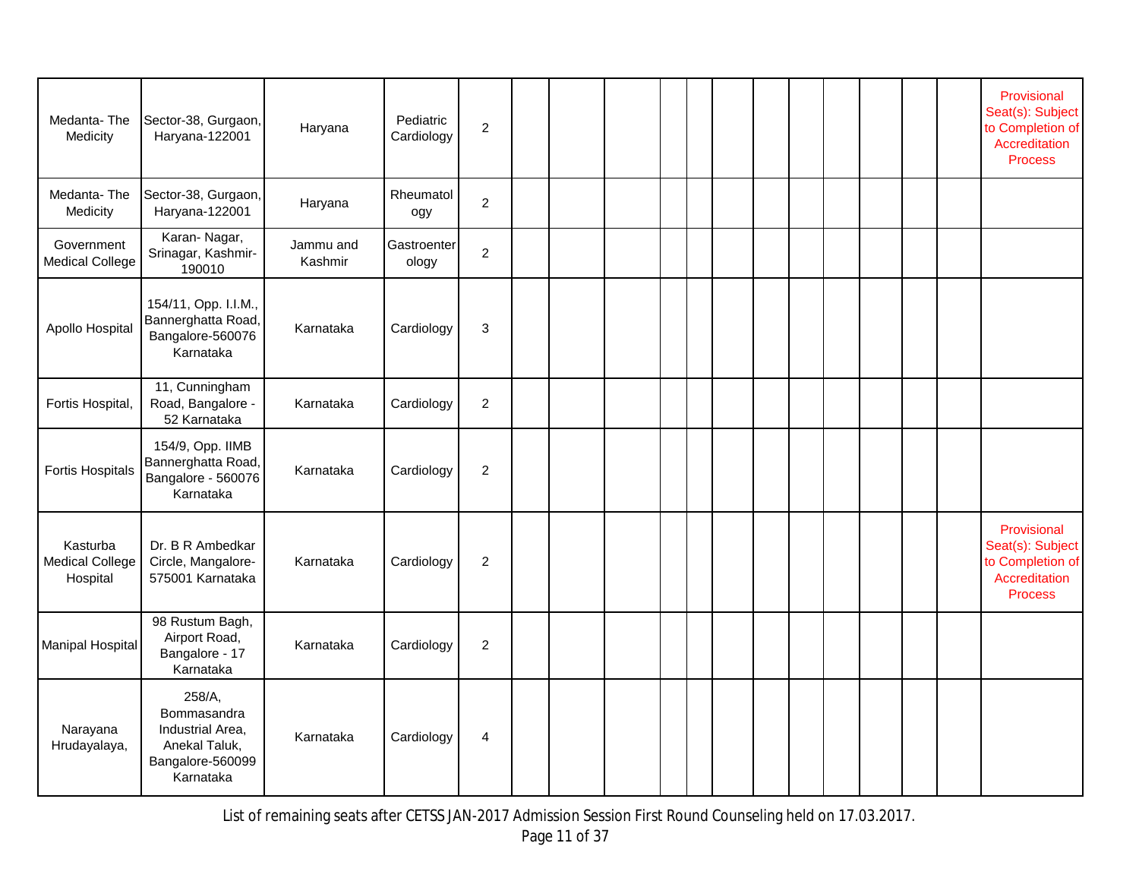| Medanta-The<br>Medicity                        | Sector-38, Gurgaon,<br>Haryana-122001                                                       | Haryana              | Pediatric<br>Cardiology | $\mathbf 2$    |  |  |  |  |  |  | Provisional<br>Seat(s): Subject<br>to Completion of<br>Accreditation<br>Process        |
|------------------------------------------------|---------------------------------------------------------------------------------------------|----------------------|-------------------------|----------------|--|--|--|--|--|--|----------------------------------------------------------------------------------------|
| Medanta-The<br>Medicity                        | Sector-38, Gurgaon,<br>Haryana-122001                                                       | Haryana              | Rheumatol<br>ogy        | $\overline{2}$ |  |  |  |  |  |  |                                                                                        |
| Government<br><b>Medical College</b>           | Karan-Nagar,<br>Srinagar, Kashmir-<br>190010                                                | Jammu and<br>Kashmir | Gastroenter<br>ology    | $\overline{c}$ |  |  |  |  |  |  |                                                                                        |
| Apollo Hospital                                | 154/11, Opp. I.I.M.,<br>Bannerghatta Road,<br>Bangalore-560076<br>Karnataka                 | Karnataka            | Cardiology              | 3              |  |  |  |  |  |  |                                                                                        |
| Fortis Hospital,                               | 11, Cunningham<br>Road, Bangalore -<br>52 Karnataka                                         | Karnataka            | Cardiology              | $\overline{c}$ |  |  |  |  |  |  |                                                                                        |
| <b>Fortis Hospitals</b>                        | 154/9, Opp. IIMB<br>Bannerghatta Road,<br>Bangalore - 560076<br>Karnataka                   | Karnataka            | Cardiology              | $\overline{c}$ |  |  |  |  |  |  |                                                                                        |
| Kasturba<br><b>Medical College</b><br>Hospital | Dr. B R Ambedkar<br>Circle, Mangalore-<br>575001 Karnataka                                  | Karnataka            | Cardiology              | $\overline{c}$ |  |  |  |  |  |  | Provisional<br>Seat(s): Subject<br>to Completion of<br>Accreditation<br><b>Process</b> |
| <b>Manipal Hospital</b>                        | 98 Rustum Bagh,<br>Airport Road,<br>Bangalore - 17<br>Karnataka                             | Karnataka            | Cardiology              | $\overline{c}$ |  |  |  |  |  |  |                                                                                        |
| Narayana<br>Hrudayalaya,                       | 258/A,<br>Bommasandra<br>Industrial Area,<br>Anekal Taluk,<br>Bangalore-560099<br>Karnataka | Karnataka            | Cardiology              | 4              |  |  |  |  |  |  |                                                                                        |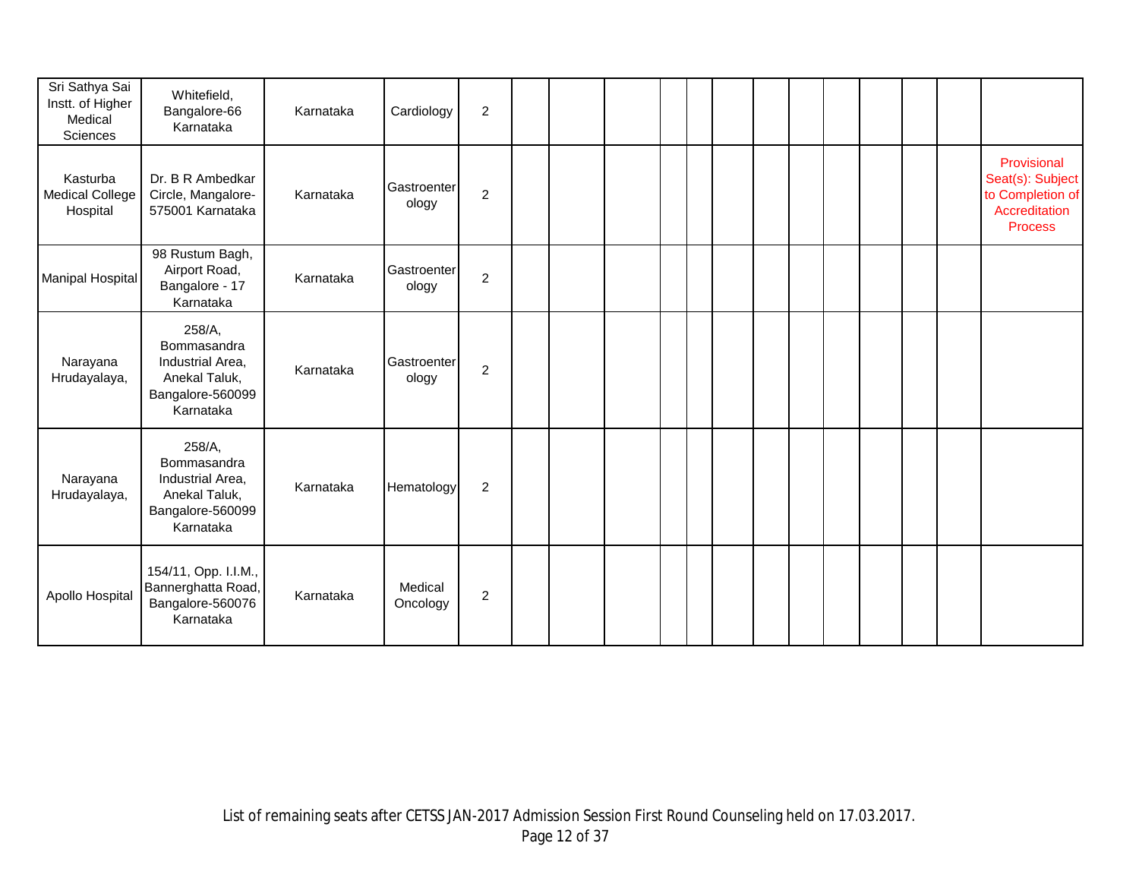| Sri Sathya Sai<br>Instt. of Higher<br>Medical<br>Sciences | Whitefield,<br>Bangalore-66<br>Karnataka                                                    | Karnataka | Cardiology           | $\overline{2}$ |  |  |  |  |  |  |                                                                                        |
|-----------------------------------------------------------|---------------------------------------------------------------------------------------------|-----------|----------------------|----------------|--|--|--|--|--|--|----------------------------------------------------------------------------------------|
| Kasturba<br><b>Medical College</b><br>Hospital            | Dr. B R Ambedkar<br>Circle, Mangalore-<br>575001 Karnataka                                  | Karnataka | Gastroenter<br>ology | $\overline{c}$ |  |  |  |  |  |  | Provisional<br>Seat(s): Subject<br>to Completion of<br>Accreditation<br><b>Process</b> |
| <b>Manipal Hospital</b>                                   | 98 Rustum Bagh,<br>Airport Road,<br>Bangalore - 17<br>Karnataka                             | Karnataka | Gastroenter<br>ology | $\overline{c}$ |  |  |  |  |  |  |                                                                                        |
| Narayana<br>Hrudayalaya,                                  | 258/A,<br>Bommasandra<br>Industrial Area,<br>Anekal Taluk,<br>Bangalore-560099<br>Karnataka | Karnataka | Gastroenter<br>ology | $\overline{c}$ |  |  |  |  |  |  |                                                                                        |
| Narayana<br>Hrudayalaya,                                  | 258/A,<br>Bommasandra<br>Industrial Area,<br>Anekal Taluk,<br>Bangalore-560099<br>Karnataka | Karnataka | Hematology           | $\overline{2}$ |  |  |  |  |  |  |                                                                                        |
| Apollo Hospital                                           | 154/11, Opp. I.I.M.,<br>Bannerghatta Road,<br>Bangalore-560076<br>Karnataka                 | Karnataka | Medical<br>Oncology  | $\sqrt{2}$     |  |  |  |  |  |  |                                                                                        |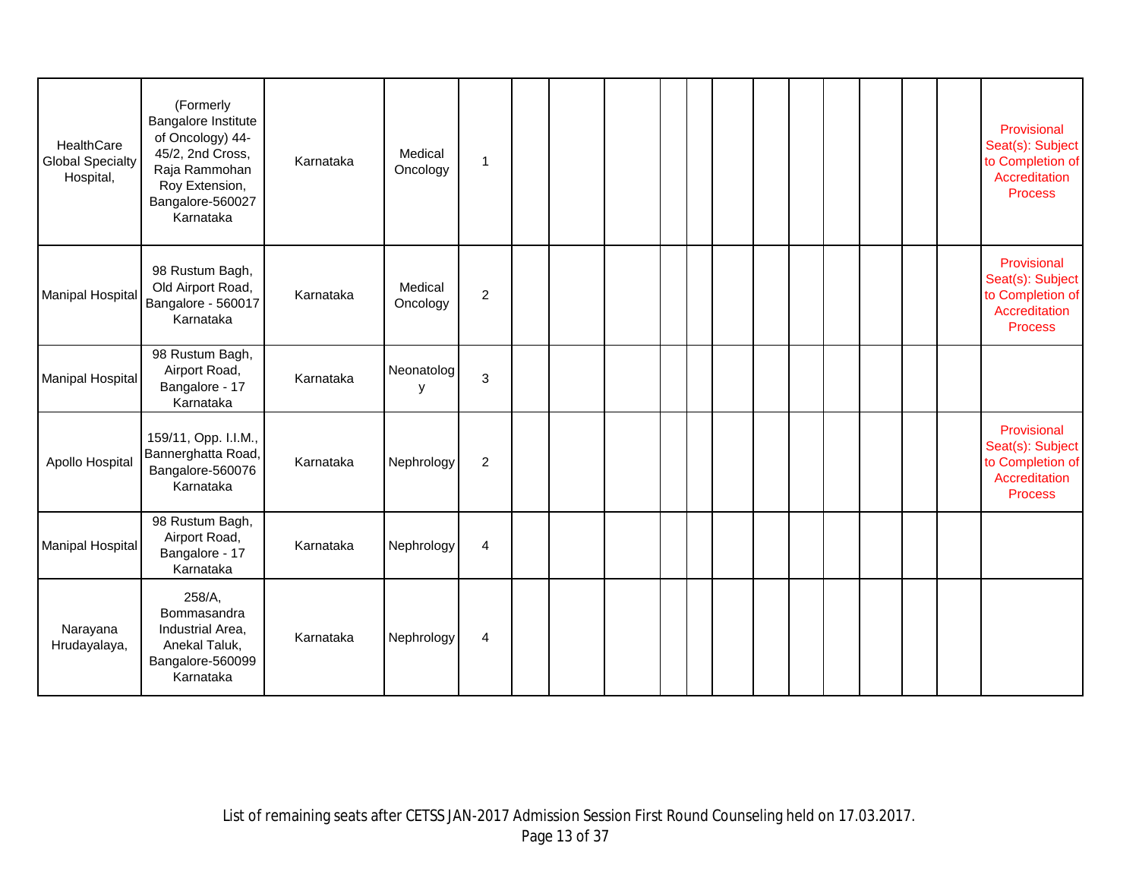| HealthCare<br><b>Global Specialty</b><br>Hospital, | (Formerly<br>Bangalore Institute<br>of Oncology) 44-<br>45/2, 2nd Cross,<br>Raja Rammohan<br>Roy Extension,<br>Bangalore-560027<br>Karnataka | Karnataka | Medical<br>Oncology | $\mathbf{1}$            |  |  |  |  |  |  | Provisional<br>Seat(s): Subject<br>to Completion of<br>Accreditation<br><b>Process</b> |
|----------------------------------------------------|----------------------------------------------------------------------------------------------------------------------------------------------|-----------|---------------------|-------------------------|--|--|--|--|--|--|----------------------------------------------------------------------------------------|
| <b>Manipal Hospital</b>                            | 98 Rustum Bagh,<br>Old Airport Road,<br>Bangalore - 560017<br>Karnataka                                                                      | Karnataka | Medical<br>Oncology | $\overline{c}$          |  |  |  |  |  |  | Provisional<br>Seat(s): Subject<br>to Completion of<br>Accreditation<br><b>Process</b> |
| <b>Manipal Hospital</b>                            | 98 Rustum Bagh,<br>Airport Road,<br>Bangalore - 17<br>Karnataka                                                                              | Karnataka | Neonatolog<br>у     | $\mathsf 3$             |  |  |  |  |  |  |                                                                                        |
| Apollo Hospital                                    | 159/11, Opp. I.I.M.,<br>Bannerghatta Road,<br>Bangalore-560076<br>Karnataka                                                                  | Karnataka | Nephrology          | $\overline{c}$          |  |  |  |  |  |  | Provisional<br>Seat(s): Subject<br>to Completion of<br>Accreditation<br><b>Process</b> |
| <b>Manipal Hospital</b>                            | 98 Rustum Bagh,<br>Airport Road,<br>Bangalore - 17<br>Karnataka                                                                              | Karnataka | Nephrology          | $\overline{\mathbf{4}}$ |  |  |  |  |  |  |                                                                                        |
| Narayana<br>Hrudayalaya,                           | 258/A,<br>Bommasandra<br>Industrial Area,<br>Anekal Taluk,<br>Bangalore-560099<br>Karnataka                                                  | Karnataka | Nephrology          | 4                       |  |  |  |  |  |  |                                                                                        |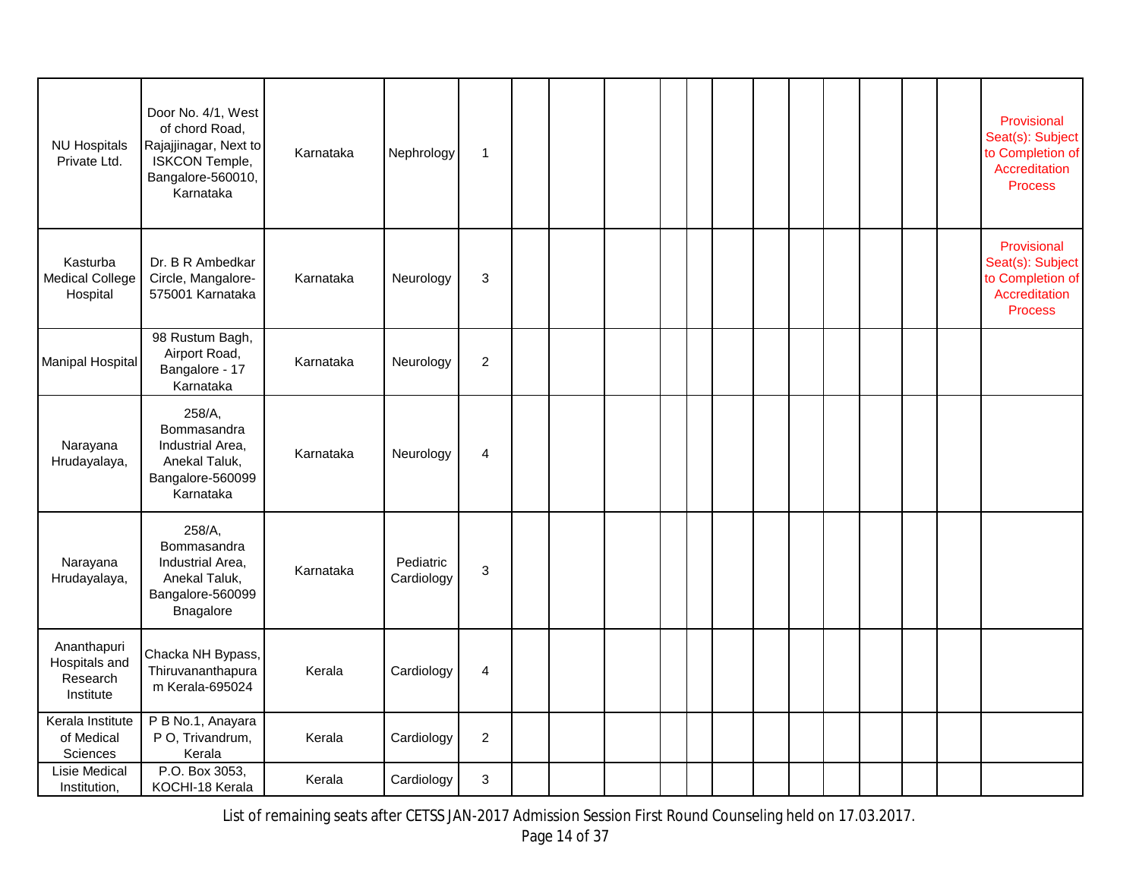| <b>NU Hospitals</b><br>Private Ltd.                   | Door No. 4/1, West<br>of chord Road,<br>Rajajjinagar, Next to<br>ISKCON Temple,<br>Bangalore-560010,<br>Karnataka | Karnataka | Nephrology              | $\mathbf{1}$   |  |  |  |  |  |  | Provisional<br>Seat(s): Subject<br>to Completion of<br>Accreditation<br><b>Process</b> |
|-------------------------------------------------------|-------------------------------------------------------------------------------------------------------------------|-----------|-------------------------|----------------|--|--|--|--|--|--|----------------------------------------------------------------------------------------|
| Kasturba<br><b>Medical College</b><br>Hospital        | Dr. B R Ambedkar<br>Circle, Mangalore-<br>575001 Karnataka                                                        | Karnataka | Neurology               | $\mathbf{3}$   |  |  |  |  |  |  | Provisional<br>Seat(s): Subject<br>to Completion of<br>Accreditation<br><b>Process</b> |
| Manipal Hospital                                      | 98 Rustum Bagh,<br>Airport Road,<br>Bangalore - 17<br>Karnataka                                                   | Karnataka | Neurology               | $\overline{c}$ |  |  |  |  |  |  |                                                                                        |
| Narayana<br>Hrudayalaya,                              | 258/A,<br>Bommasandra<br>Industrial Area,<br>Anekal Taluk,<br>Bangalore-560099<br>Karnataka                       | Karnataka | Neurology               | 4              |  |  |  |  |  |  |                                                                                        |
| Narayana<br>Hrudayalaya,                              | 258/A,<br>Bommasandra<br>Industrial Area,<br>Anekal Taluk,<br>Bangalore-560099<br>Bnagalore                       | Karnataka | Pediatric<br>Cardiology | 3              |  |  |  |  |  |  |                                                                                        |
| Ananthapuri<br>Hospitals and<br>Research<br>Institute | Chacka NH Bypass,<br>Thiruvananthapura<br>m Kerala-695024                                                         | Kerala    | Cardiology              | $\overline{4}$ |  |  |  |  |  |  |                                                                                        |
| Kerala Institute<br>of Medical<br>Sciences            | P B No.1, Anayara<br>P O, Trivandrum,<br>Kerala                                                                   | Kerala    | Cardiology              | $\overline{2}$ |  |  |  |  |  |  |                                                                                        |
| Lisie Medical<br>Institution,                         | P.O. Box 3053,<br>KOCHI-18 Kerala                                                                                 | Kerala    | Cardiology              | 3              |  |  |  |  |  |  |                                                                                        |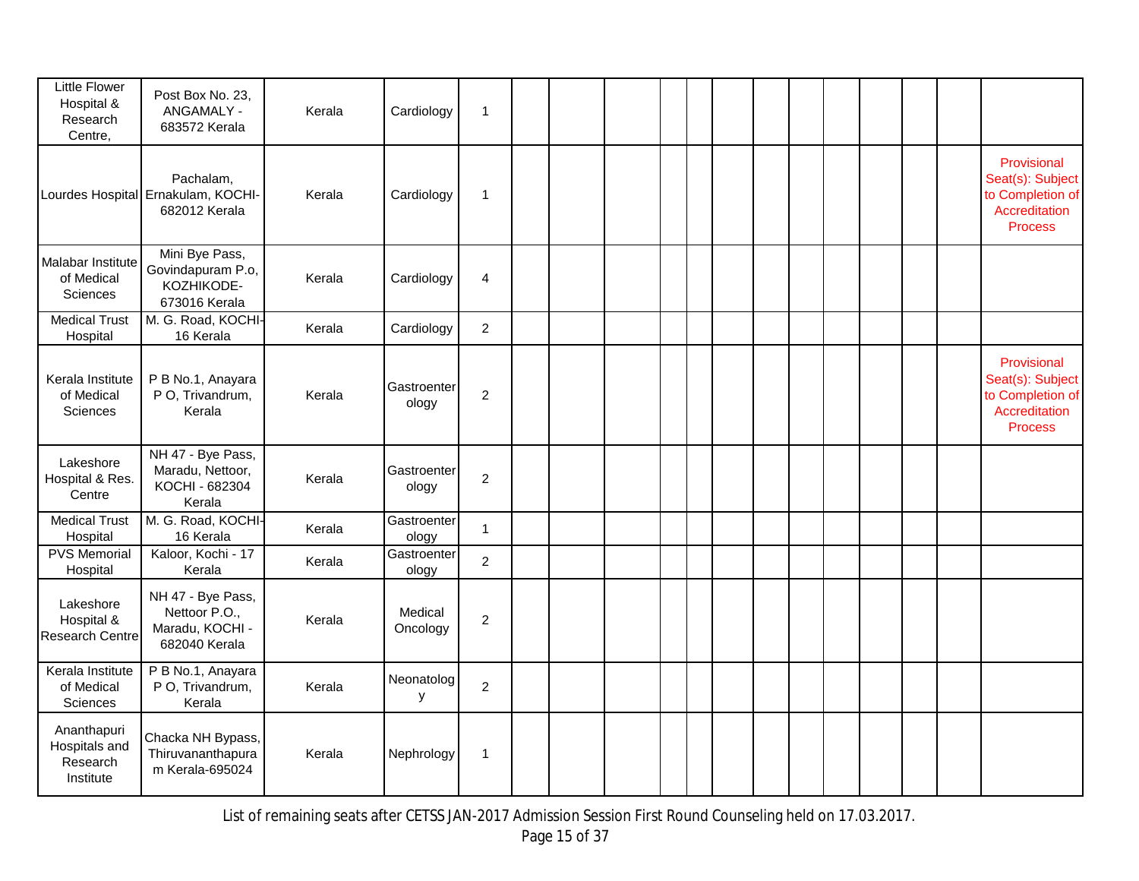| Little Flower<br>Hospital &<br>Research<br>Centre,    | Post Box No. 23,<br>ANGAMALY -<br>683572 Kerala                        | Kerala | Cardiology           | $\mathbf{1}$     |  |  |  |  |  |  |                                                                                        |
|-------------------------------------------------------|------------------------------------------------------------------------|--------|----------------------|------------------|--|--|--|--|--|--|----------------------------------------------------------------------------------------|
|                                                       | Pachalam,<br>Lourdes Hospital Ernakulam, KOCHI-<br>682012 Kerala       | Kerala | Cardiology           | $\mathbf 1$      |  |  |  |  |  |  | Provisional<br>Seat(s): Subject<br>to Completion of<br>Accreditation<br><b>Process</b> |
| Malabar Institute<br>of Medical<br><b>Sciences</b>    | Mini Bye Pass,<br>Govindapuram P.o,<br>KOZHIKODE-<br>673016 Kerala     | Kerala | Cardiology           | 4                |  |  |  |  |  |  |                                                                                        |
| <b>Medical Trust</b><br>Hospital                      | M. G. Road, KOCHI-<br>16 Kerala                                        | Kerala | Cardiology           | $\overline{c}$   |  |  |  |  |  |  |                                                                                        |
| Kerala Institute<br>of Medical<br>Sciences            | P B No.1, Anayara<br>P O, Trivandrum,<br>Kerala                        | Kerala | Gastroenter<br>ology | $\boldsymbol{2}$ |  |  |  |  |  |  | Provisional<br>Seat(s): Subject<br>to Completion of<br>Accreditation<br><b>Process</b> |
| Lakeshore<br>Hospital & Res.<br>Centre                | NH 47 - Bye Pass,<br>Maradu, Nettoor,<br>KOCHI - 682304<br>Kerala      | Kerala | Gastroenter<br>ology | $\overline{c}$   |  |  |  |  |  |  |                                                                                        |
| <b>Medical Trust</b><br>Hospital                      | M. G. Road, KOCHI-<br>16 Kerala                                        | Kerala | Gastroenter<br>ology | $\mathbf{1}$     |  |  |  |  |  |  |                                                                                        |
| <b>PVS Memorial</b><br>Hospital                       | Kaloor, Kochi - 17<br>Kerala                                           | Kerala | Gastroenter<br>ology | $\overline{c}$   |  |  |  |  |  |  |                                                                                        |
| Lakeshore<br>Hospital &<br>Research Centre            | NH 47 - Bye Pass,<br>Nettoor P.O.,<br>Maradu, KOCHI -<br>682040 Kerala | Kerala | Medical<br>Oncology  | $\overline{c}$   |  |  |  |  |  |  |                                                                                        |
| Kerala Institute<br>of Medical<br>Sciences            | P B No.1, Anayara<br>P O, Trivandrum,<br>Kerala                        | Kerala | Neonatolog<br>у      | $\overline{c}$   |  |  |  |  |  |  |                                                                                        |
| Ananthapuri<br>Hospitals and<br>Research<br>Institute | Chacka NH Bypass,<br>Thiruvananthapura<br>m Kerala-695024              | Kerala | Nephrology           | 1                |  |  |  |  |  |  |                                                                                        |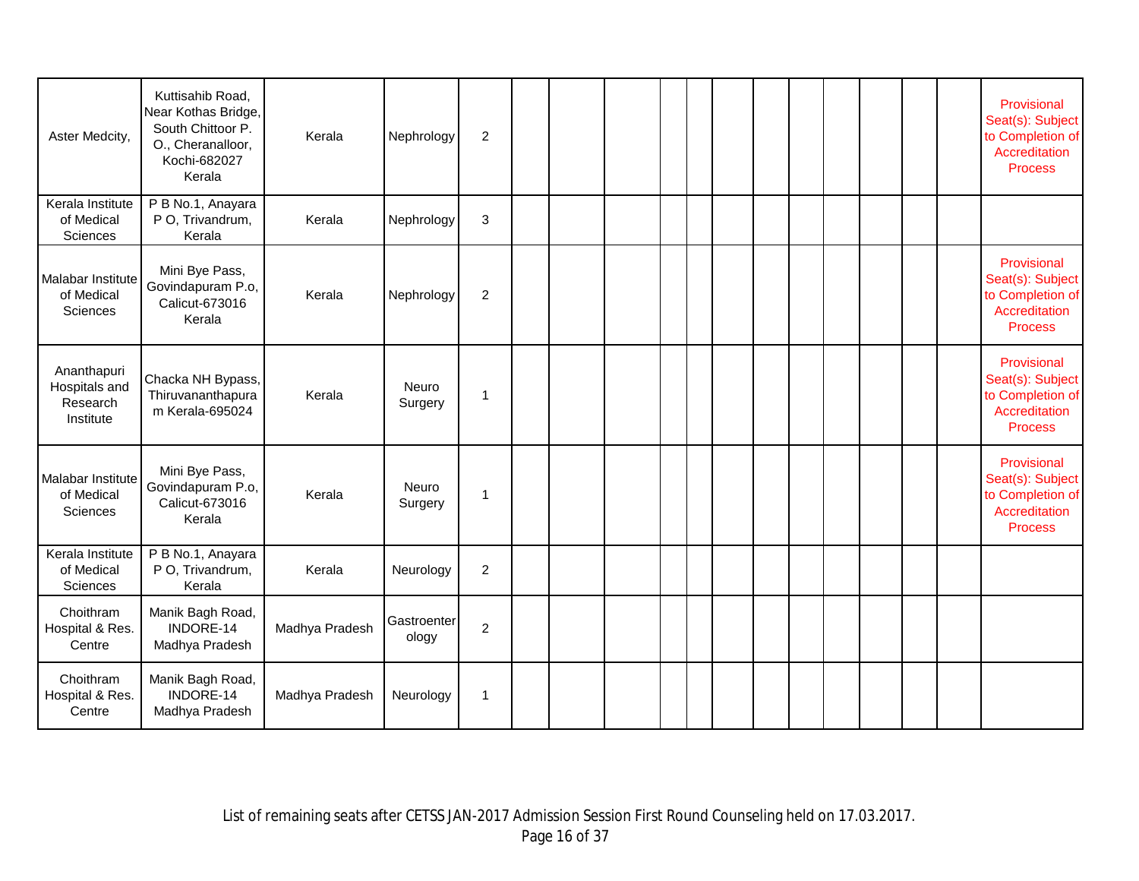| Aster Medcity,                                        | Kuttisahib Road,<br>Near Kothas Bridge,<br>South Chittoor P.<br>O., Cheranalloor,<br>Kochi-682027<br>Kerala | Kerala         | Nephrology           | $\sqrt{2}$     |  |  |  |  |  |  | Provisional<br>Seat(s): Subject<br>to Completion of<br>Accreditation<br><b>Process</b> |
|-------------------------------------------------------|-------------------------------------------------------------------------------------------------------------|----------------|----------------------|----------------|--|--|--|--|--|--|----------------------------------------------------------------------------------------|
| Kerala Institute<br>of Medical<br>Sciences            | P B No.1, Anayara<br>P O, Trivandrum,<br>Kerala                                                             | Kerala         | Nephrology           | 3              |  |  |  |  |  |  |                                                                                        |
| Malabar Institute<br>of Medical<br>Sciences           | Mini Bye Pass,<br>Govindapuram P.o,<br>Calicut-673016<br>Kerala                                             | Kerala         | Nephrology           | $\overline{c}$ |  |  |  |  |  |  | Provisional<br>Seat(s): Subject<br>to Completion of<br>Accreditation<br><b>Process</b> |
| Ananthapuri<br>Hospitals and<br>Research<br>Institute | Chacka NH Bypass,<br>Thiruvananthapura<br>m Kerala-695024                                                   | Kerala         | Neuro<br>Surgery     | $\mathbf 1$    |  |  |  |  |  |  | Provisional<br>Seat(s): Subject<br>to Completion of<br>Accreditation<br><b>Process</b> |
| Malabar Institute<br>of Medical<br>Sciences           | Mini Bye Pass,<br>Govindapuram P.o,<br>Calicut-673016<br>Kerala                                             | Kerala         | Neuro<br>Surgery     | 1              |  |  |  |  |  |  | Provisional<br>Seat(s): Subject<br>to Completion of<br>Accreditation<br><b>Process</b> |
| Kerala Institute<br>of Medical<br>Sciences            | P B No.1, Anayara<br>P O, Trivandrum,<br>Kerala                                                             | Kerala         | Neurology            | $\overline{2}$ |  |  |  |  |  |  |                                                                                        |
| Choithram<br>Hospital & Res.<br>Centre                | Manik Bagh Road,<br>INDORE-14<br>Madhya Pradesh                                                             | Madhya Pradesh | Gastroenter<br>ology | $\overline{c}$ |  |  |  |  |  |  |                                                                                        |
| Choithram<br>Hospital & Res.<br>Centre                | Manik Bagh Road,<br>INDORE-14<br>Madhya Pradesh                                                             | Madhya Pradesh | Neurology            | $\mathbf 1$    |  |  |  |  |  |  |                                                                                        |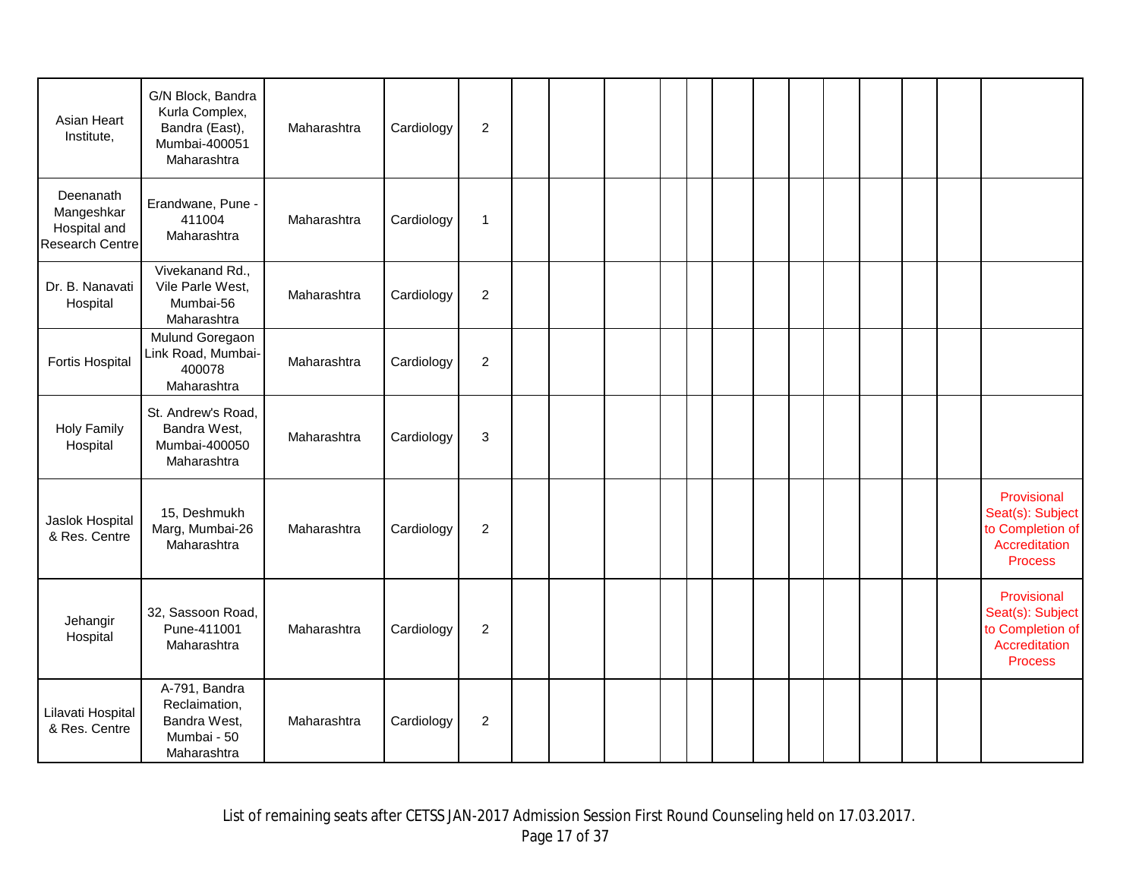| Asian Heart<br>Institute,                                         | G/N Block, Bandra<br>Kurla Complex,<br>Bandra (East),<br>Mumbai-400051<br>Maharashtra | Maharashtra | Cardiology | $\overline{c}$ |  |  |  |  |  |  |                                                                                        |
|-------------------------------------------------------------------|---------------------------------------------------------------------------------------|-------------|------------|----------------|--|--|--|--|--|--|----------------------------------------------------------------------------------------|
| Deenanath<br>Mangeshkar<br>Hospital and<br><b>Research Centre</b> | Erandwane, Pune -<br>411004<br>Maharashtra                                            | Maharashtra | Cardiology | 1              |  |  |  |  |  |  |                                                                                        |
| Dr. B. Nanavati<br>Hospital                                       | Vivekanand Rd.,<br>Vile Parle West,<br>Mumbai-56<br>Maharashtra                       | Maharashtra | Cardiology | $\overline{c}$ |  |  |  |  |  |  |                                                                                        |
| Fortis Hospital                                                   | Mulund Goregaon<br>Link Road, Mumbai-<br>400078<br>Maharashtra                        | Maharashtra | Cardiology | $\overline{2}$ |  |  |  |  |  |  |                                                                                        |
| <b>Holy Family</b><br>Hospital                                    | St. Andrew's Road,<br>Bandra West,<br>Mumbai-400050<br>Maharashtra                    | Maharashtra | Cardiology | 3              |  |  |  |  |  |  |                                                                                        |
| Jaslok Hospital<br>& Res. Centre                                  | 15, Deshmukh<br>Marg, Mumbai-26<br>Maharashtra                                        | Maharashtra | Cardiology | $\overline{c}$ |  |  |  |  |  |  | Provisional<br>Seat(s): Subject<br>to Completion of<br>Accreditation<br><b>Process</b> |
| Jehangir<br>Hospital                                              | 32, Sassoon Road,<br>Pune-411001<br>Maharashtra                                       | Maharashtra | Cardiology | $\overline{2}$ |  |  |  |  |  |  | Provisional<br>Seat(s): Subject<br>to Completion of<br>Accreditation<br><b>Process</b> |
| Lilavati Hospital<br>& Res. Centre                                | A-791, Bandra<br>Reclaimation,<br>Bandra West,<br>Mumbai - 50<br>Maharashtra          | Maharashtra | Cardiology | $\overline{2}$ |  |  |  |  |  |  |                                                                                        |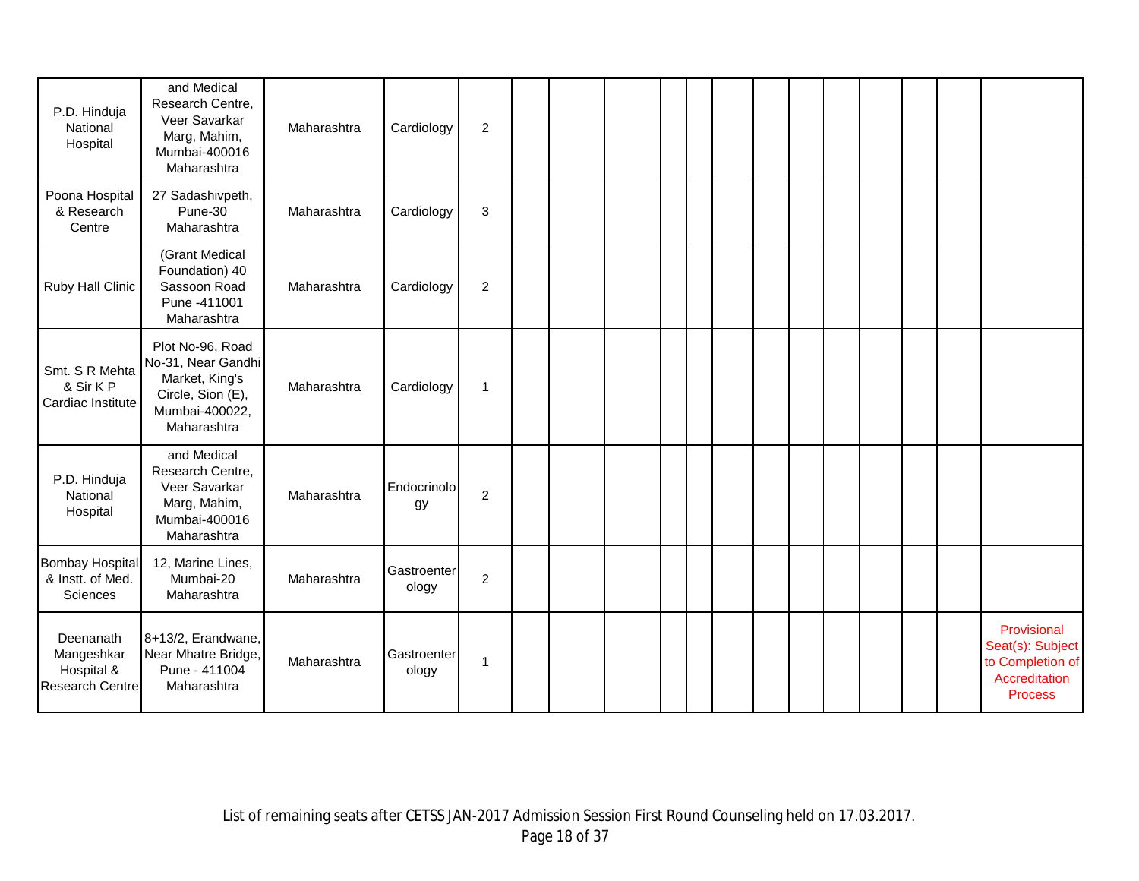| P.D. Hinduja<br>National<br>Hospital                            | and Medical<br>Research Centre,<br>Veer Savarkar<br>Marg, Mahim,<br>Mumbai-400016<br>Maharashtra               | Maharashtra | Cardiology           | $\overline{c}$ |  |  |  |  |  |  |                                                                                        |
|-----------------------------------------------------------------|----------------------------------------------------------------------------------------------------------------|-------------|----------------------|----------------|--|--|--|--|--|--|----------------------------------------------------------------------------------------|
| Poona Hospital<br>& Research<br>Centre                          | 27 Sadashivpeth,<br>Pune-30<br>Maharashtra                                                                     | Maharashtra | Cardiology           | 3              |  |  |  |  |  |  |                                                                                        |
| Ruby Hall Clinic                                                | (Grant Medical<br>Foundation) 40<br>Sassoon Road<br>Pune -411001<br>Maharashtra                                | Maharashtra | Cardiology           | $\overline{c}$ |  |  |  |  |  |  |                                                                                        |
| Smt. S R Mehta<br>& Sir K P<br>Cardiac Institute                | Plot No-96, Road<br>No-31, Near Gandhi<br>Market, King's<br>Circle, Sion (E),<br>Mumbai-400022,<br>Maharashtra | Maharashtra | Cardiology           | 1              |  |  |  |  |  |  |                                                                                        |
| P.D. Hinduja<br>National<br>Hospital                            | and Medical<br>Research Centre,<br>Veer Savarkar<br>Marg, Mahim,<br>Mumbai-400016<br>Maharashtra               | Maharashtra | Endocrinolo<br>gy    | $\overline{c}$ |  |  |  |  |  |  |                                                                                        |
| <b>Bombay Hospital</b><br>& Instt. of Med.<br>Sciences          | 12, Marine Lines,<br>Mumbai-20<br>Maharashtra                                                                  | Maharashtra | Gastroenter<br>ology | $\overline{c}$ |  |  |  |  |  |  |                                                                                        |
| Deenanath<br>Mangeshkar<br>Hospital &<br><b>Research Centre</b> | 8+13/2, Erandwane,<br>Near Mhatre Bridge,<br>Pune - 411004<br>Maharashtra                                      | Maharashtra | Gastroenter<br>ology | 1              |  |  |  |  |  |  | Provisional<br>Seat(s): Subject<br>to Completion of<br>Accreditation<br><b>Process</b> |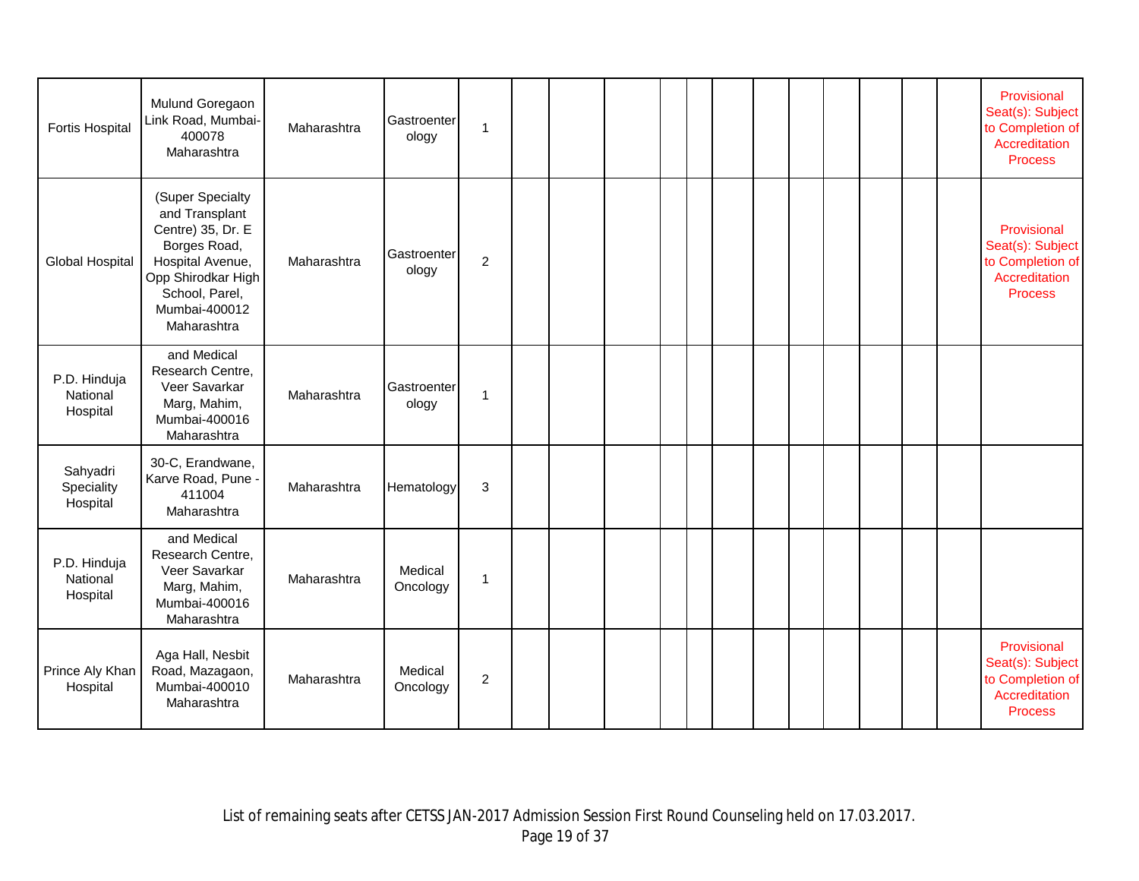| <b>Fortis Hospital</b>               | Mulund Goregaon<br>Link Road, Mumbai-<br>400078<br>Maharashtra                                                                                                      | Maharashtra | Gastroenter<br>ology | 1              |  |  |  |  |  |  | Provisional<br>Seat(s): Subject<br>to Completion of<br>Accreditation<br><b>Process</b> |
|--------------------------------------|---------------------------------------------------------------------------------------------------------------------------------------------------------------------|-------------|----------------------|----------------|--|--|--|--|--|--|----------------------------------------------------------------------------------------|
| <b>Global Hospital</b>               | (Super Specialty<br>and Transplant<br>Centre) 35, Dr. E<br>Borges Road,<br>Hospital Avenue,<br>Opp Shirodkar High<br>School, Parel,<br>Mumbai-400012<br>Maharashtra | Maharashtra | Gastroenter<br>ology | $\mathbf 2$    |  |  |  |  |  |  | Provisional<br>Seat(s): Subject<br>to Completion of<br>Accreditation<br><b>Process</b> |
| P.D. Hinduja<br>National<br>Hospital | and Medical<br>Research Centre,<br>Veer Savarkar<br>Marg, Mahim,<br>Mumbai-400016<br>Maharashtra                                                                    | Maharashtra | Gastroenter<br>ology | 1              |  |  |  |  |  |  |                                                                                        |
| Sahyadri<br>Speciality<br>Hospital   | 30-C, Erandwane,<br>Karve Road, Pune -<br>411004<br>Maharashtra                                                                                                     | Maharashtra | Hematology           | 3              |  |  |  |  |  |  |                                                                                        |
| P.D. Hinduja<br>National<br>Hospital | and Medical<br>Research Centre,<br>Veer Savarkar<br>Marg, Mahim,<br>Mumbai-400016<br>Maharashtra                                                                    | Maharashtra | Medical<br>Oncology  | 1              |  |  |  |  |  |  |                                                                                        |
| Prince Aly Khan<br>Hospital          | Aga Hall, Nesbit<br>Road, Mazagaon,<br>Mumbai-400010<br>Maharashtra                                                                                                 | Maharashtra | Medical<br>Oncology  | $\overline{c}$ |  |  |  |  |  |  | Provisional<br>Seat(s): Subject<br>to Completion of<br>Accreditation<br><b>Process</b> |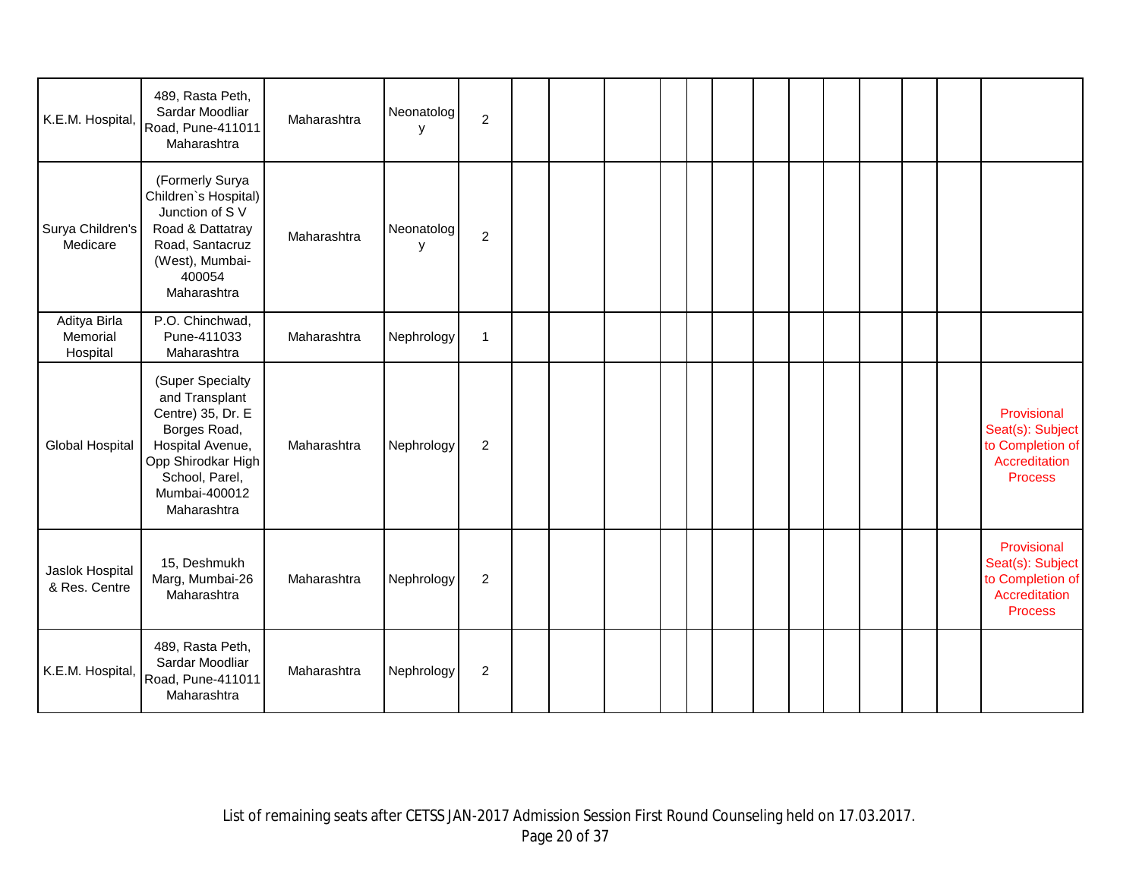| K.E.M. Hospital,                     | 489, Rasta Peth,<br>Sardar Moodliar<br>Road, Pune-411011<br>Maharashtra                                                                                             | Maharashtra | Neonatolog<br>у | $\overline{c}$ |  |  |  |  |  |  |                                                                                        |
|--------------------------------------|---------------------------------------------------------------------------------------------------------------------------------------------------------------------|-------------|-----------------|----------------|--|--|--|--|--|--|----------------------------------------------------------------------------------------|
| Surya Children's<br>Medicare         | (Formerly Surya<br>Children's Hospital)<br>Junction of SV<br>Road & Dattatray<br>Road, Santacruz<br>(West), Mumbai-<br>400054<br>Maharashtra                        | Maharashtra | Neonatolog<br>У | $\overline{c}$ |  |  |  |  |  |  |                                                                                        |
| Aditya Birla<br>Memorial<br>Hospital | P.O. Chinchwad,<br>Pune-411033<br>Maharashtra                                                                                                                       | Maharashtra | Nephrology      | 1              |  |  |  |  |  |  |                                                                                        |
| <b>Global Hospital</b>               | (Super Specialty<br>and Transplant<br>Centre) 35, Dr. E<br>Borges Road,<br>Hospital Avenue,<br>Opp Shirodkar High<br>School, Parel,<br>Mumbai-400012<br>Maharashtra | Maharashtra | Nephrology      | $\overline{c}$ |  |  |  |  |  |  | Provisional<br>Seat(s): Subject<br>to Completion of<br>Accreditation<br><b>Process</b> |
| Jaslok Hospital<br>& Res. Centre     | 15, Deshmukh<br>Marg, Mumbai-26<br>Maharashtra                                                                                                                      | Maharashtra | Nephrology      | $\overline{c}$ |  |  |  |  |  |  | Provisional<br>Seat(s): Subject<br>to Completion of<br>Accreditation<br><b>Process</b> |
| K.E.M. Hospital,                     | 489, Rasta Peth,<br>Sardar Moodliar<br>Road, Pune-411011<br>Maharashtra                                                                                             | Maharashtra | Nephrology      | $\overline{c}$ |  |  |  |  |  |  |                                                                                        |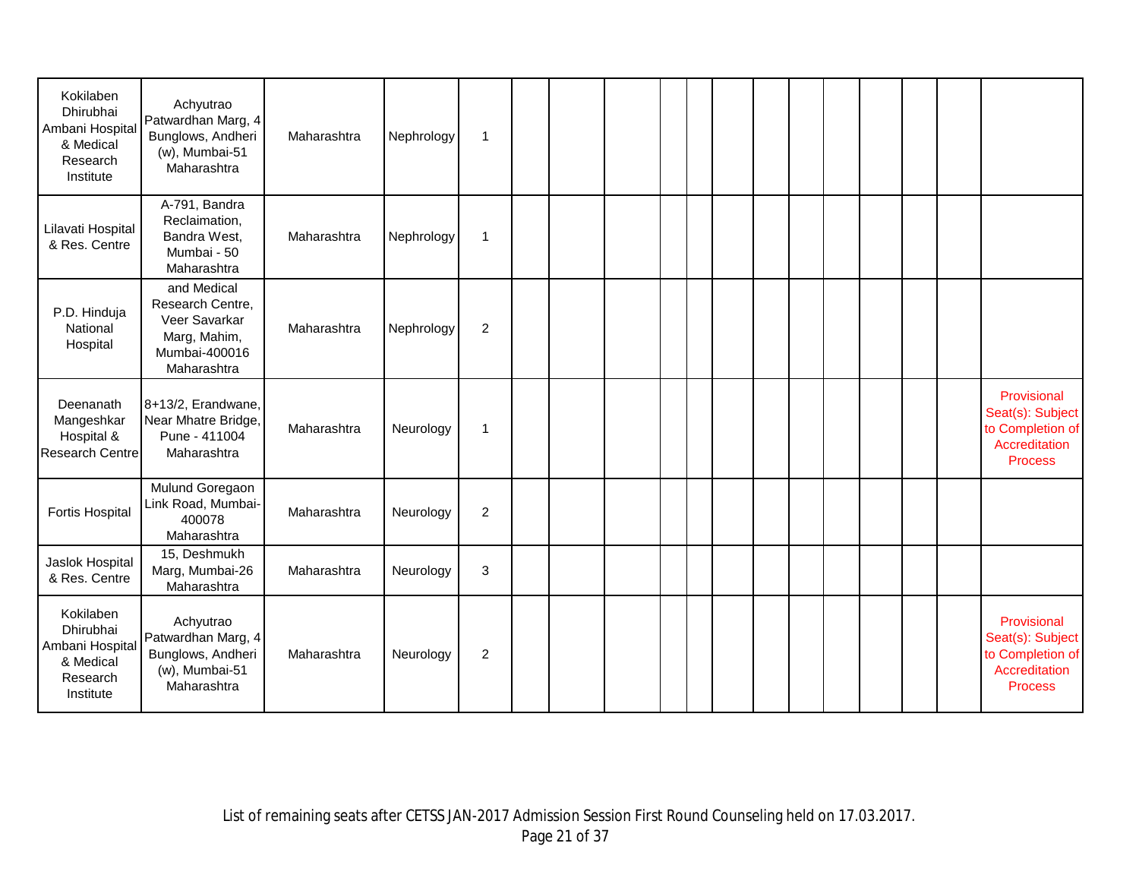| Kokilaben<br>Dhirubhai<br>Ambani Hospital<br>& Medical<br>Research<br>Institute | Achyutrao<br>Patwardhan Marg, 4<br>Bunglows, Andheri<br>$(w)$ , Mumbai-51<br>Maharashtra         | Maharashtra | Nephrology | $\mathbf{1}$   |  |  |  |  |  |  |                                                                                        |
|---------------------------------------------------------------------------------|--------------------------------------------------------------------------------------------------|-------------|------------|----------------|--|--|--|--|--|--|----------------------------------------------------------------------------------------|
| Lilavati Hospital<br>& Res. Centre                                              | A-791, Bandra<br>Reclaimation,<br>Bandra West,<br>Mumbai - 50<br>Maharashtra                     | Maharashtra | Nephrology | $\mathbf{1}$   |  |  |  |  |  |  |                                                                                        |
| P.D. Hinduja<br>National<br>Hospital                                            | and Medical<br>Research Centre,<br>Veer Savarkar<br>Marg, Mahim,<br>Mumbai-400016<br>Maharashtra | Maharashtra | Nephrology | $\overline{2}$ |  |  |  |  |  |  |                                                                                        |
| Deenanath<br>Mangeshkar<br>Hospital &<br>Research Centre                        | 8+13/2, Erandwane,<br>Near Mhatre Bridge,<br>Pune - 411004<br>Maharashtra                        | Maharashtra | Neurology  | $\mathbf{1}$   |  |  |  |  |  |  | Provisional<br>Seat(s): Subject<br>to Completion of<br>Accreditation<br><b>Process</b> |
| Fortis Hospital                                                                 | Mulund Goregaon<br>Link Road, Mumbai-<br>400078<br>Maharashtra                                   | Maharashtra | Neurology  | $\overline{2}$ |  |  |  |  |  |  |                                                                                        |
| Jaslok Hospital<br>& Res. Centre                                                | 15, Deshmukh<br>Marg, Mumbai-26<br>Maharashtra                                                   | Maharashtra | Neurology  | 3              |  |  |  |  |  |  |                                                                                        |
| Kokilaben<br>Dhirubhai<br>Ambani Hospital<br>& Medical<br>Research<br>Institute | Achyutrao<br>Patwardhan Marg, 4<br>Bunglows, Andheri<br>$(w)$ , Mumbai-51<br>Maharashtra         | Maharashtra | Neurology  | $\overline{2}$ |  |  |  |  |  |  | Provisional<br>Seat(s): Subject<br>to Completion of<br>Accreditation<br><b>Process</b> |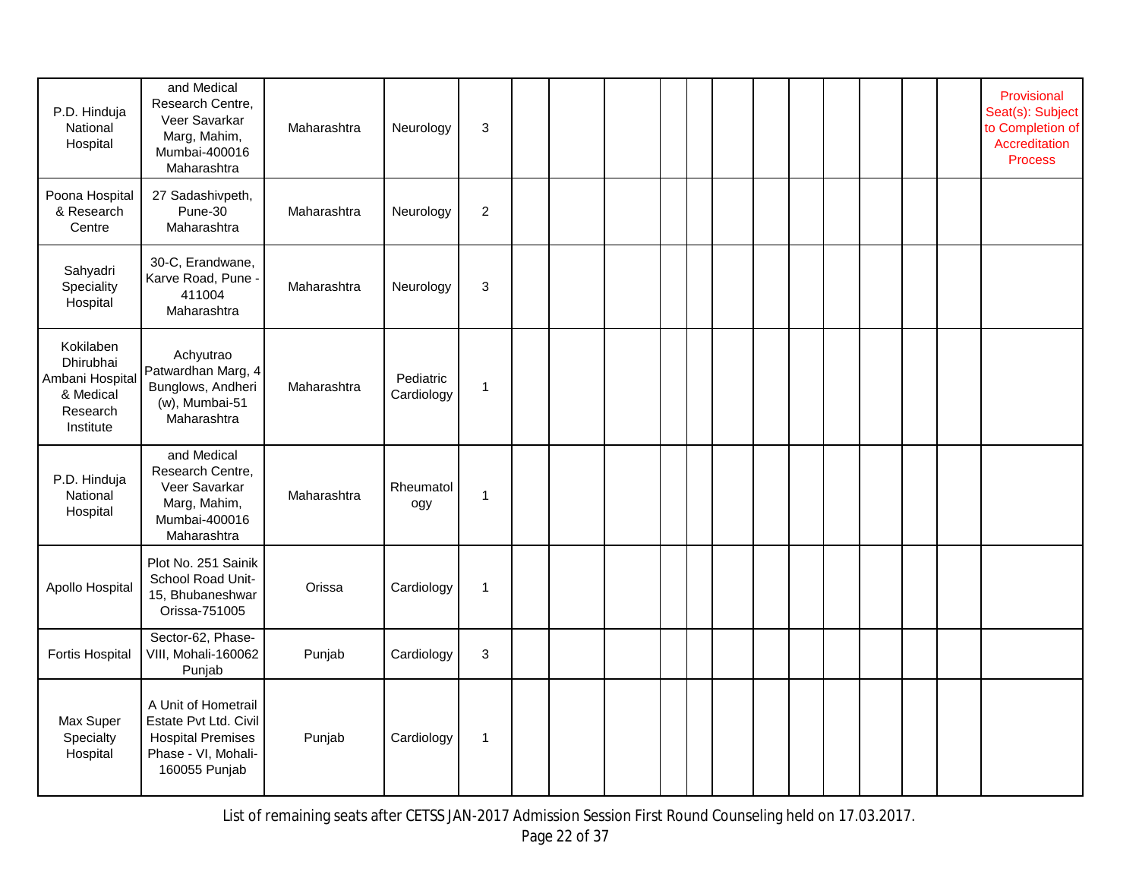| P.D. Hinduja<br>National<br>Hospital                                           | and Medical<br>Research Centre,<br>Veer Savarkar<br>Marg, Mahim,<br>Mumbai-400016<br>Maharashtra                 | Maharashtra | Neurology               | 3              |  |  |  |  |  |  | Provisional<br>Seat(s): Subject<br>to Completion of<br>Accreditation<br><b>Process</b> |
|--------------------------------------------------------------------------------|------------------------------------------------------------------------------------------------------------------|-------------|-------------------------|----------------|--|--|--|--|--|--|----------------------------------------------------------------------------------------|
| Poona Hospital<br>& Research<br>Centre                                         | 27 Sadashivpeth,<br>Pune-30<br>Maharashtra                                                                       | Maharashtra | Neurology               | $\overline{2}$ |  |  |  |  |  |  |                                                                                        |
| Sahyadri<br>Speciality<br>Hospital                                             | 30-C, Erandwane,<br>Karve Road, Pune -<br>411004<br>Maharashtra                                                  | Maharashtra | Neurology               | $\sqrt{3}$     |  |  |  |  |  |  |                                                                                        |
| Kokilaben<br>Dhirubhai<br>Ambani Hospita<br>& Medical<br>Research<br>Institute | Achyutrao<br>Patwardhan Marg, 4<br>Bunglows, Andheri<br>(w), Mumbai-51<br>Maharashtra                            | Maharashtra | Pediatric<br>Cardiology | $\mathbf{1}$   |  |  |  |  |  |  |                                                                                        |
| P.D. Hinduja<br>National<br>Hospital                                           | and Medical<br>Research Centre,<br>Veer Savarkar<br>Marg, Mahim,<br>Mumbai-400016<br>Maharashtra                 | Maharashtra | Rheumatol<br>ogy        | $\mathbf{1}$   |  |  |  |  |  |  |                                                                                        |
| Apollo Hospital                                                                | Plot No. 251 Sainik<br>School Road Unit-<br>15, Bhubaneshwar<br>Orissa-751005                                    | Orissa      | Cardiology              | $\mathbf{1}$   |  |  |  |  |  |  |                                                                                        |
| Fortis Hospital                                                                | Sector-62, Phase-<br>VIII, Mohali-160062<br>Punjab                                                               | Punjab      | Cardiology              | 3              |  |  |  |  |  |  |                                                                                        |
| Max Super<br>Specialty<br>Hospital                                             | A Unit of Hometrail<br>Estate Pvt Ltd. Civil<br><b>Hospital Premises</b><br>Phase - VI, Mohali-<br>160055 Punjab | Punjab      | Cardiology              | $\mathbf{1}$   |  |  |  |  |  |  |                                                                                        |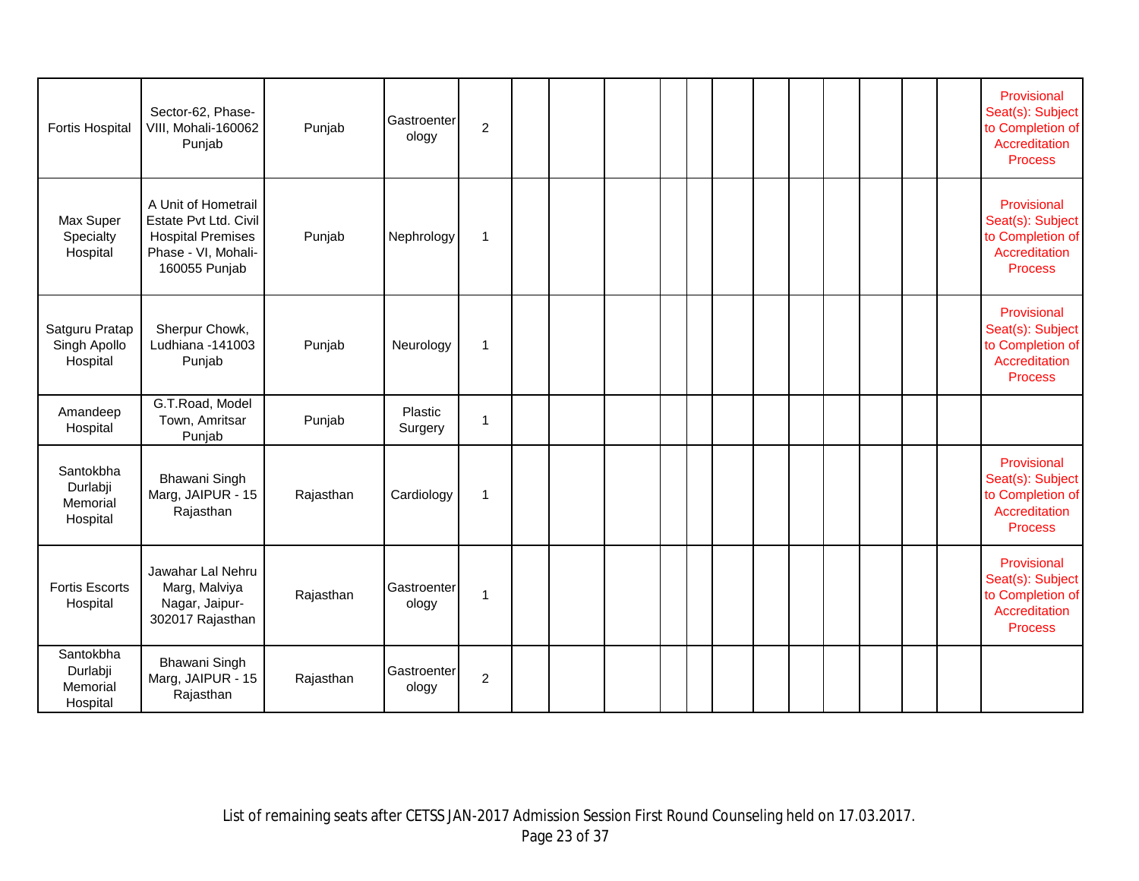| Fortis Hospital                               | Sector-62, Phase-<br>VIII, Mohali-160062<br>Punjab                                                               | Punjab    | Gastroenter<br>ology | $\overline{2}$ |  |  |  |  |  |  | Provisional<br>Seat(s): Subject<br>to Completion of<br>Accreditation<br><b>Process</b> |
|-----------------------------------------------|------------------------------------------------------------------------------------------------------------------|-----------|----------------------|----------------|--|--|--|--|--|--|----------------------------------------------------------------------------------------|
| Max Super<br>Specialty<br>Hospital            | A Unit of Hometrail<br>Estate Pvt Ltd. Civil<br><b>Hospital Premises</b><br>Phase - VI, Mohali-<br>160055 Punjab | Punjab    | Nephrology           | $\mathbf{1}$   |  |  |  |  |  |  | Provisional<br>Seat(s): Subject<br>to Completion of<br>Accreditation<br><b>Process</b> |
| Satguru Pratap<br>Singh Apollo<br>Hospital    | Sherpur Chowk,<br>Ludhiana -141003<br>Punjab                                                                     | Punjab    | Neurology            | $\mathbf{1}$   |  |  |  |  |  |  | Provisional<br>Seat(s): Subject<br>to Completion of<br>Accreditation<br><b>Process</b> |
| Amandeep<br>Hospital                          | G.T.Road, Model<br>Town, Amritsar<br>Punjab                                                                      | Punjab    | Plastic<br>Surgery   | $\mathbf{1}$   |  |  |  |  |  |  |                                                                                        |
| Santokbha<br>Durlabji<br>Memorial<br>Hospital | Bhawani Singh<br>Marg, JAIPUR - 15<br>Rajasthan                                                                  | Rajasthan | Cardiology           | $\mathbf{1}$   |  |  |  |  |  |  | Provisional<br>Seat(s): Subject<br>to Completion of<br>Accreditation<br><b>Process</b> |
| <b>Fortis Escorts</b><br>Hospital             | Jawahar Lal Nehru<br>Marg, Malviya<br>Nagar, Jaipur-<br>302017 Rajasthan                                         | Rajasthan | Gastroenter<br>ology | 1              |  |  |  |  |  |  | Provisional<br>Seat(s): Subject<br>to Completion of<br>Accreditation<br><b>Process</b> |
| Santokbha<br>Durlabji<br>Memorial<br>Hospital | Bhawani Singh<br>Marg, JAIPUR - 15<br>Rajasthan                                                                  | Rajasthan | Gastroenter<br>ology | $\overline{c}$ |  |  |  |  |  |  |                                                                                        |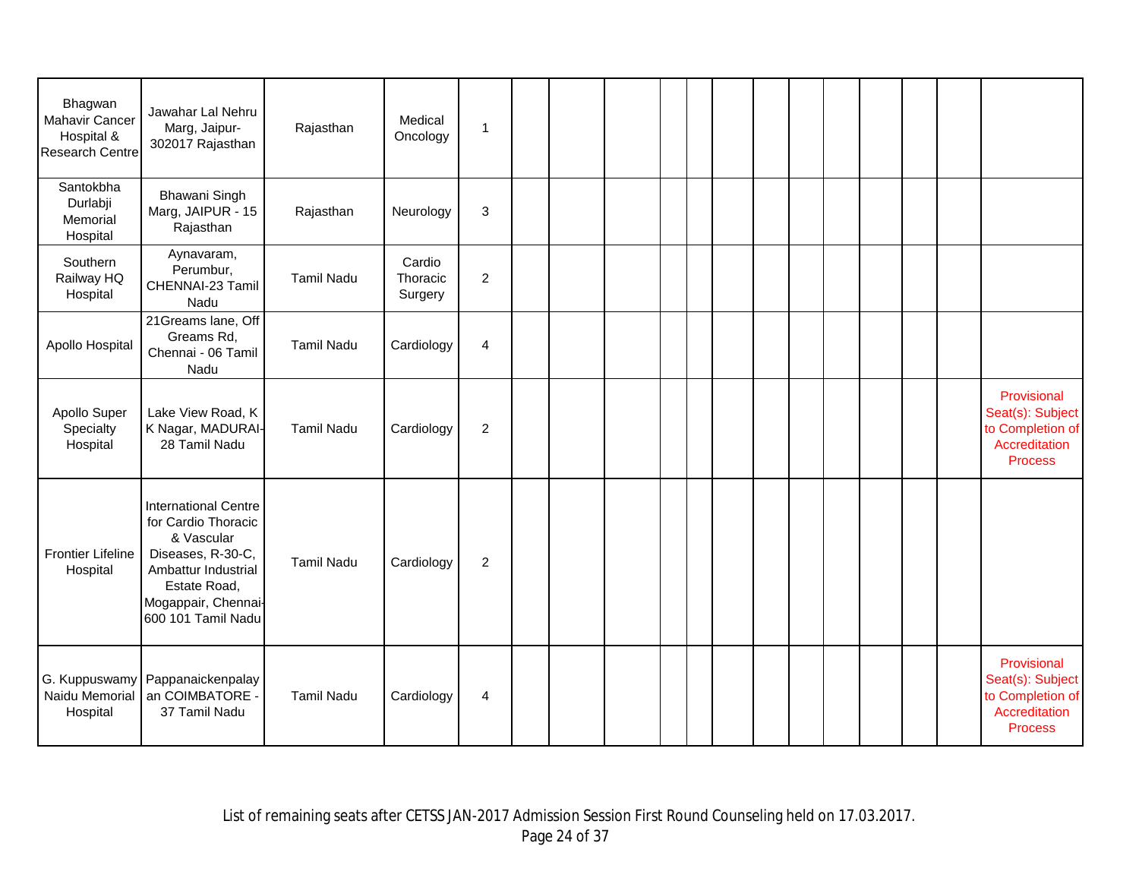| Bhagwan<br>Mahavir Cancer<br>Hospital &<br><b>Research Centre</b> | Jawahar Lal Nehru<br>Marg, Jaipur-<br>302017 Rajasthan                                                                                                                    | Rajasthan         | Medical<br>Oncology           | $\mathbf{1}$            |  |  |  |  |  |  |                                                                                        |
|-------------------------------------------------------------------|---------------------------------------------------------------------------------------------------------------------------------------------------------------------------|-------------------|-------------------------------|-------------------------|--|--|--|--|--|--|----------------------------------------------------------------------------------------|
| Santokbha<br>Durlabji<br>Memorial<br>Hospital                     | Bhawani Singh<br>Marg, JAIPUR - 15<br>Rajasthan                                                                                                                           | Rajasthan         | Neurology                     | 3                       |  |  |  |  |  |  |                                                                                        |
| Southern<br>Railway HQ<br>Hospital                                | Aynavaram,<br>Perumbur,<br>CHENNAI-23 Tamil<br>Nadu                                                                                                                       | <b>Tamil Nadu</b> | Cardio<br>Thoracic<br>Surgery | $\overline{2}$          |  |  |  |  |  |  |                                                                                        |
| Apollo Hospital                                                   | 21Greams lane, Off<br>Greams Rd,<br>Chennai - 06 Tamil<br>Nadu                                                                                                            | <b>Tamil Nadu</b> | Cardiology                    | $\overline{4}$          |  |  |  |  |  |  |                                                                                        |
| Apollo Super<br>Specialty<br>Hospital                             | Lake View Road, K<br>K Nagar, MADURAI-<br>28 Tamil Nadu                                                                                                                   | <b>Tamil Nadu</b> | Cardiology                    | $\sqrt{2}$              |  |  |  |  |  |  | Provisional<br>Seat(s): Subject<br>to Completion of<br>Accreditation<br><b>Process</b> |
| <b>Frontier Lifeline</b><br>Hospital                              | <b>International Centre</b><br>for Cardio Thoracic<br>& Vascular<br>Diseases, R-30-C,<br>Ambattur Industrial<br>Estate Road,<br>Mogappair, Chennai-<br>600 101 Tamil Nadu | <b>Tamil Nadu</b> | Cardiology                    | $\overline{c}$          |  |  |  |  |  |  |                                                                                        |
| Naidu Memorial<br>Hospital                                        | G. Kuppuswamy Pappanaickenpalay<br>an COIMBATORE<br>37 Tamil Nadu                                                                                                         | <b>Tamil Nadu</b> | Cardiology                    | $\overline{\mathbf{4}}$ |  |  |  |  |  |  | Provisional<br>Seat(s): Subject<br>to Completion of<br>Accreditation<br><b>Process</b> |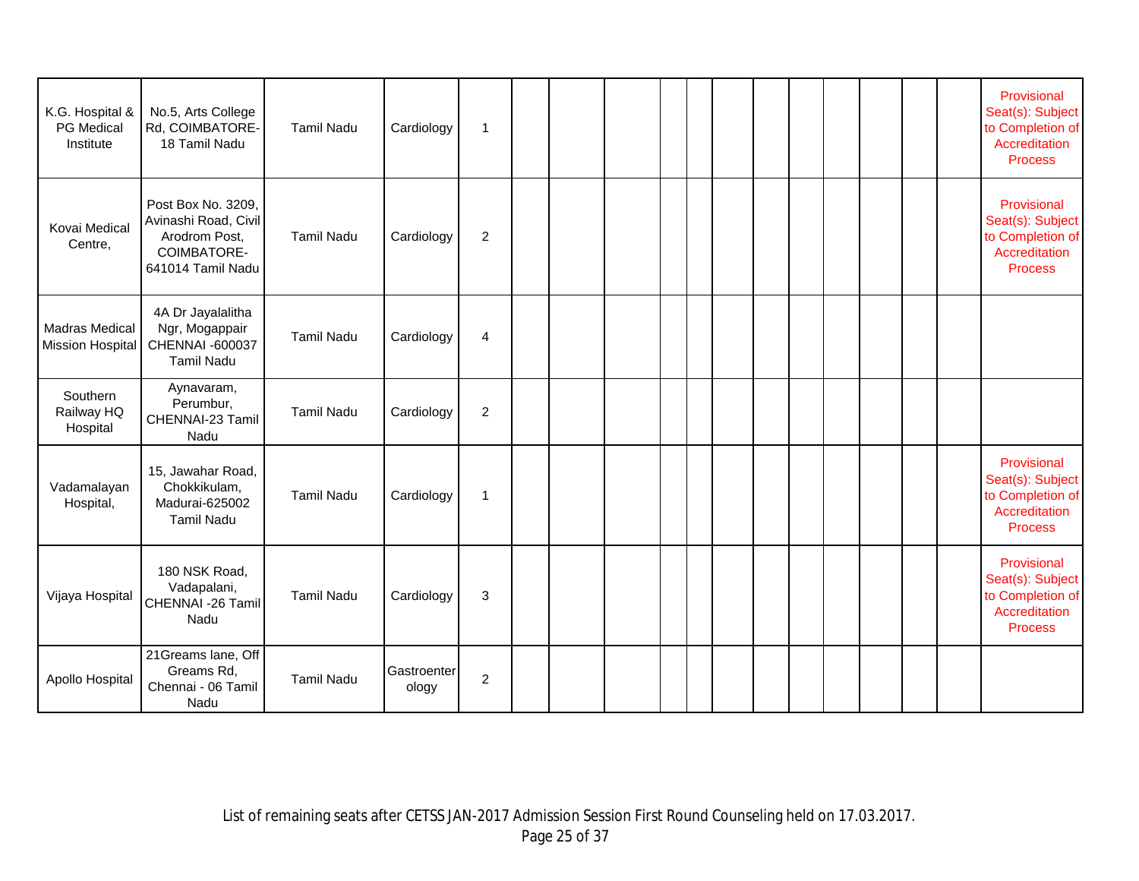| K.G. Hospital &<br><b>PG Medical</b><br>Institute | No.5, Arts College<br>Rd, COIMBATORE-<br>18 Tamil Nadu                                          | <b>Tamil Nadu</b> | Cardiology           | $\mathbf 1$    |  |  |  |  |  |  | Provisional<br>Seat(s): Subject<br>to Completion of<br>Accreditation<br><b>Process</b> |
|---------------------------------------------------|-------------------------------------------------------------------------------------------------|-------------------|----------------------|----------------|--|--|--|--|--|--|----------------------------------------------------------------------------------------|
| Kovai Medical<br>Centre,                          | Post Box No. 3209,<br>Avinashi Road, Civil<br>Arodrom Post,<br>COIMBATORE-<br>641014 Tamil Nadu | <b>Tamil Nadu</b> | Cardiology           | $\overline{2}$ |  |  |  |  |  |  | Provisional<br>Seat(s): Subject<br>to Completion of<br>Accreditation<br><b>Process</b> |
| <b>Madras Medical</b><br><b>Mission Hospital</b>  | 4A Dr Jayalalitha<br>Ngr, Mogappair<br>CHENNAI -600037<br><b>Tamil Nadu</b>                     | <b>Tamil Nadu</b> | Cardiology           | 4              |  |  |  |  |  |  |                                                                                        |
| Southern<br>Railway HQ<br>Hospital                | Aynavaram,<br>Perumbur,<br>CHENNAI-23 Tamil<br>Nadu                                             | <b>Tamil Nadu</b> | Cardiology           | $\overline{c}$ |  |  |  |  |  |  |                                                                                        |
| Vadamalayan<br>Hospital,                          | 15, Jawahar Road,<br>Chokkikulam,<br>Madurai-625002<br><b>Tamil Nadu</b>                        | <b>Tamil Nadu</b> | Cardiology           | 1              |  |  |  |  |  |  | Provisional<br>Seat(s): Subject<br>to Completion of<br>Accreditation<br><b>Process</b> |
| Vijaya Hospital                                   | 180 NSK Road,<br>Vadapalani,<br>CHENNAI -26 Tamil<br>Nadu                                       | <b>Tamil Nadu</b> | Cardiology           | 3              |  |  |  |  |  |  | Provisional<br>Seat(s): Subject<br>to Completion of<br>Accreditation<br><b>Process</b> |
| Apollo Hospital                                   | 21Greams lane, Off<br>Greams Rd,<br>Chennai - 06 Tamil<br>Nadu                                  | <b>Tamil Nadu</b> | Gastroenter<br>ology | $\overline{c}$ |  |  |  |  |  |  |                                                                                        |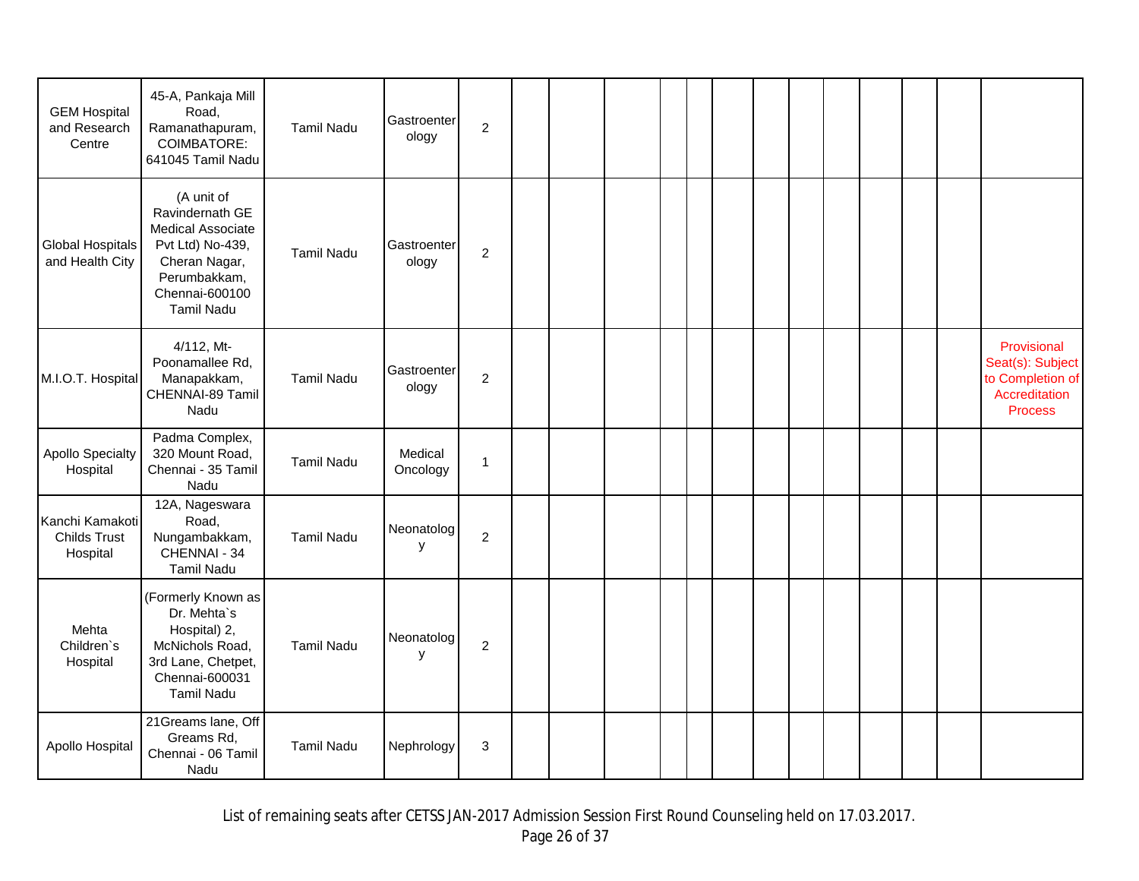| <b>GEM Hospital</b><br>and Research<br>Centre      | 45-A, Pankaja Mill<br>Road,<br>Ramanathapuram,<br><b>COIMBATORE:</b><br>641045 Tamil Nadu                                                      | <b>Tamil Nadu</b> | Gastroenter<br>ology | $\mathbf 2$    |  |  |  |  |  |  |                                                                                        |
|----------------------------------------------------|------------------------------------------------------------------------------------------------------------------------------------------------|-------------------|----------------------|----------------|--|--|--|--|--|--|----------------------------------------------------------------------------------------|
| <b>Global Hospitals</b><br>and Health City         | (A unit of<br>Ravindernath GE<br>Medical Associate<br>Pvt Ltd) No-439,<br>Cheran Nagar,<br>Perumbakkam,<br>Chennai-600100<br><b>Tamil Nadu</b> | <b>Tamil Nadu</b> | Gastroenter<br>ology | $\overline{c}$ |  |  |  |  |  |  |                                                                                        |
| M.I.O.T. Hospital                                  | 4/112, Mt-<br>Poonamallee Rd,<br>Manapakkam,<br>CHENNAI-89 Tamil<br>Nadu                                                                       | <b>Tamil Nadu</b> | Gastroenter<br>ology | $\mathbf 2$    |  |  |  |  |  |  | Provisional<br>Seat(s): Subject<br>to Completion of<br>Accreditation<br><b>Process</b> |
| <b>Apollo Specialty</b><br>Hospital                | Padma Complex,<br>320 Mount Road,<br>Chennai - 35 Tamil<br>Nadu                                                                                | <b>Tamil Nadu</b> | Medical<br>Oncology  | $\mathbf{1}$   |  |  |  |  |  |  |                                                                                        |
| Kanchi Kamakoti<br><b>Childs Trust</b><br>Hospital | 12A, Nageswara<br>Road,<br>Nungambakkam,<br>CHENNAI - 34<br><b>Tamil Nadu</b>                                                                  | <b>Tamil Nadu</b> | Neonatolog<br>у      | $\overline{c}$ |  |  |  |  |  |  |                                                                                        |
| Mehta<br>Children's<br>Hospital                    | (Formerly Known as<br>Dr. Mehta's<br>Hospital) 2,<br>McNichols Road,<br>3rd Lane, Chetpet,<br>Chennai-600031<br><b>Tamil Nadu</b>              | <b>Tamil Nadu</b> | Neonatolog<br>у      | $\overline{c}$ |  |  |  |  |  |  |                                                                                        |
| Apollo Hospital                                    | 21Greams lane, Off<br>Greams Rd,<br>Chennai - 06 Tamil<br>Nadu                                                                                 | <b>Tamil Nadu</b> | Nephrology           | 3              |  |  |  |  |  |  |                                                                                        |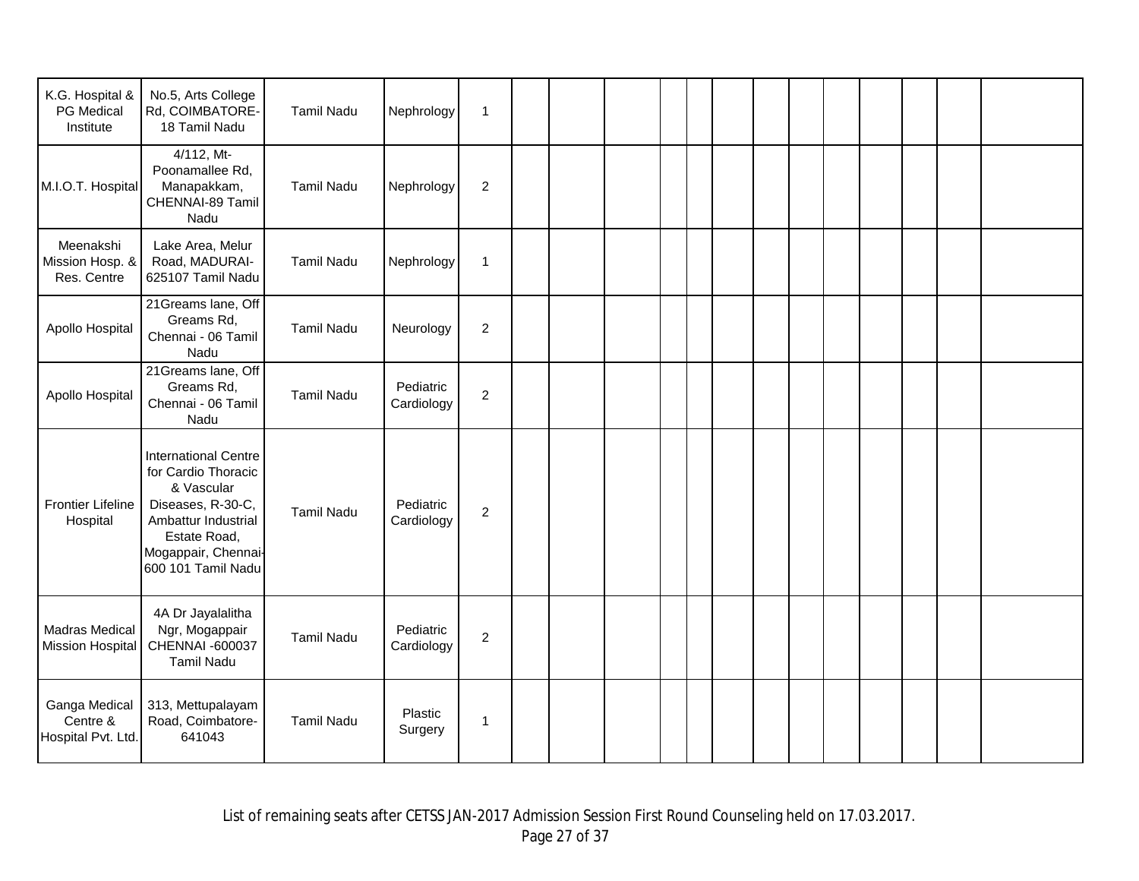| K.G. Hospital &<br><b>PG</b> Medical<br>Institute | No.5, Arts College<br>Rd, COIMBATORE-<br>18 Tamil Nadu                                                                                                                    | <b>Tamil Nadu</b> | Nephrology              | $\mathbf{1}$   |  |  |  |  |  |  |  |
|---------------------------------------------------|---------------------------------------------------------------------------------------------------------------------------------------------------------------------------|-------------------|-------------------------|----------------|--|--|--|--|--|--|--|
| M.I.O.T. Hospital                                 | 4/112, Mt-<br>Poonamallee Rd,<br>Manapakkam,<br>CHENNAI-89 Tamil<br>Nadu                                                                                                  | <b>Tamil Nadu</b> | Nephrology              | $\overline{2}$ |  |  |  |  |  |  |  |
| Meenakshi<br>Mission Hosp. &<br>Res. Centre       | Lake Area, Melur<br>Road, MADURAI-<br>625107 Tamil Nadu                                                                                                                   | <b>Tamil Nadu</b> | Nephrology              | $\mathbf{1}$   |  |  |  |  |  |  |  |
| Apollo Hospital                                   | 21Greams lane, Off<br>Greams Rd,<br>Chennai - 06 Tamil<br>Nadu                                                                                                            | <b>Tamil Nadu</b> | Neurology               | $\overline{c}$ |  |  |  |  |  |  |  |
| Apollo Hospital                                   | 21Greams lane, Off<br>Greams Rd,<br>Chennai - 06 Tamil<br>Nadu                                                                                                            | Tamil Nadu        | Pediatric<br>Cardiology | $\overline{c}$ |  |  |  |  |  |  |  |
| <b>Frontier Lifeline</b><br>Hospital              | <b>International Centre</b><br>for Cardio Thoracic<br>& Vascular<br>Diseases, R-30-C,<br>Ambattur Industrial<br>Estate Road,<br>Mogappair, Chennai-<br>600 101 Tamil Nadu | <b>Tamil Nadu</b> | Pediatric<br>Cardiology | $\overline{c}$ |  |  |  |  |  |  |  |
| <b>Madras Medical</b><br><b>Mission Hospital</b>  | 4A Dr Jayalalitha<br>Ngr, Mogappair<br>CHENNAI -600037<br><b>Tamil Nadu</b>                                                                                               | <b>Tamil Nadu</b> | Pediatric<br>Cardiology | $\overline{c}$ |  |  |  |  |  |  |  |
| Ganga Medical<br>Centre &<br>Hospital Pvt. Ltd.   | 313, Mettupalayam<br>Road, Coimbatore-<br>641043                                                                                                                          | <b>Tamil Nadu</b> | Plastic<br>Surgery      | 1              |  |  |  |  |  |  |  |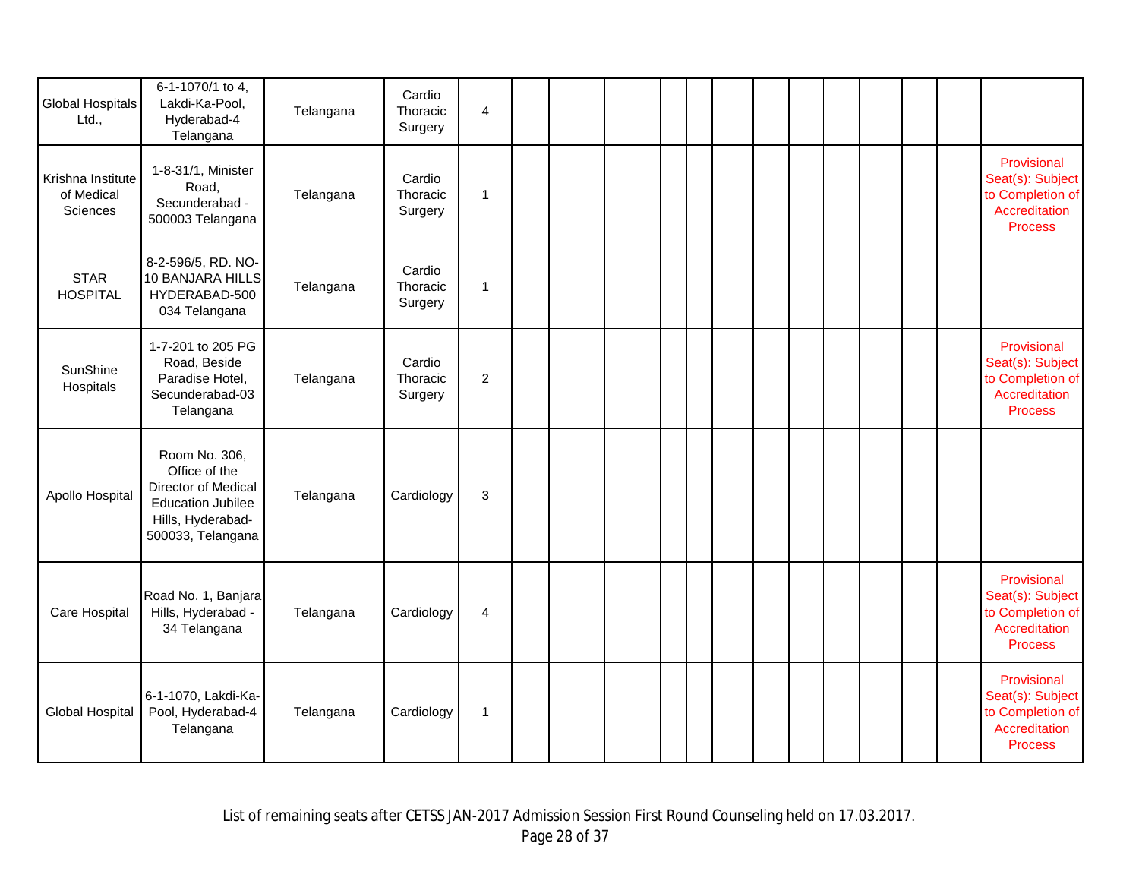| <b>Global Hospitals</b><br>Ltd.,            | 6-1-1070/1 to 4,<br>Lakdi-Ka-Pool,<br>Hyderabad-4                                                                                  | Telangana | Cardio<br>Thoracic            | $\overline{\mathbf{4}}$ |  |  |  |  |  |  |                                                                                        |
|---------------------------------------------|------------------------------------------------------------------------------------------------------------------------------------|-----------|-------------------------------|-------------------------|--|--|--|--|--|--|----------------------------------------------------------------------------------------|
|                                             | Telangana                                                                                                                          |           | Surgery                       |                         |  |  |  |  |  |  |                                                                                        |
| Krishna Institute<br>of Medical<br>Sciences | 1-8-31/1, Minister<br>Road,<br>Secunderabad -<br>500003 Telangana                                                                  | Telangana | Cardio<br>Thoracic<br>Surgery | $\mathbf{1}$            |  |  |  |  |  |  | Provisional<br>Seat(s): Subject<br>to Completion of<br>Accreditation<br><b>Process</b> |
| <b>STAR</b><br><b>HOSPITAL</b>              | 8-2-596/5, RD. NO-<br>10 BANJARA HILLS<br>HYDERABAD-500<br>034 Telangana                                                           | Telangana | Cardio<br>Thoracic<br>Surgery | 1                       |  |  |  |  |  |  |                                                                                        |
| SunShine<br>Hospitals                       | 1-7-201 to 205 PG<br>Road, Beside<br>Paradise Hotel,<br>Secunderabad-03<br>Telangana                                               | Telangana | Cardio<br>Thoracic<br>Surgery | $\overline{c}$          |  |  |  |  |  |  | Provisional<br>Seat(s): Subject<br>to Completion of<br>Accreditation<br><b>Process</b> |
| Apollo Hospital                             | Room No. 306,<br>Office of the<br><b>Director of Medical</b><br><b>Education Jubilee</b><br>Hills, Hyderabad-<br>500033, Telangana | Telangana | Cardiology                    | 3                       |  |  |  |  |  |  |                                                                                        |
| Care Hospital                               | Road No. 1, Banjara<br>Hills, Hyderabad -<br>34 Telangana                                                                          | Telangana | Cardiology                    | 4                       |  |  |  |  |  |  | Provisional<br>Seat(s): Subject<br>to Completion of<br>Accreditation<br><b>Process</b> |
| <b>Global Hospital</b>                      | 6-1-1070, Lakdi-Ka-<br>Pool, Hyderabad-4<br>Telangana                                                                              | Telangana | Cardiology                    | 1                       |  |  |  |  |  |  | Provisional<br>Seat(s): Subject<br>to Completion of<br>Accreditation<br><b>Process</b> |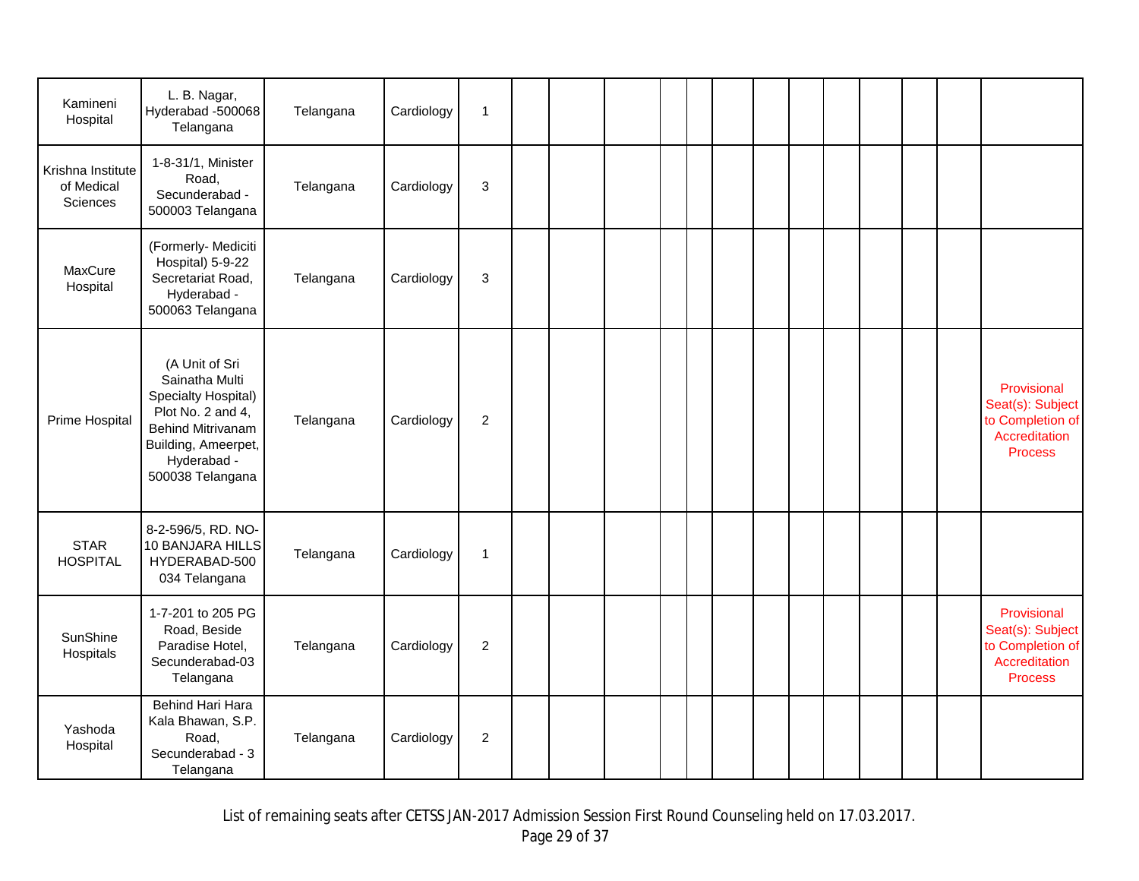| Kamineni<br>Hospital                        | L. B. Nagar,<br>Hyderabad -500068<br>Telangana                                                                                                                     | Telangana | Cardiology | $\mathbf{1}$     |  |  |  |  |  |  |                                                                                        |
|---------------------------------------------|--------------------------------------------------------------------------------------------------------------------------------------------------------------------|-----------|------------|------------------|--|--|--|--|--|--|----------------------------------------------------------------------------------------|
| Krishna Institute<br>of Medical<br>Sciences | 1-8-31/1, Minister<br>Road,<br>Secunderabad -<br>500003 Telangana                                                                                                  | Telangana | Cardiology | $\mathbf 3$      |  |  |  |  |  |  |                                                                                        |
| MaxCure<br>Hospital                         | (Formerly- Mediciti<br>Hospital) 5-9-22<br>Secretariat Road,<br>Hyderabad -<br>500063 Telangana                                                                    | Telangana | Cardiology | 3                |  |  |  |  |  |  |                                                                                        |
| Prime Hospital                              | (A Unit of Sri<br>Sainatha Multi<br>Specialty Hospital)<br>Plot No. 2 and 4,<br><b>Behind Mitrivanam</b><br>Building, Ameerpet,<br>Hyderabad -<br>500038 Telangana | Telangana | Cardiology | $\overline{2}$   |  |  |  |  |  |  | Provisional<br>Seat(s): Subject<br>to Completion of<br>Accreditation<br><b>Process</b> |
| <b>STAR</b><br><b>HOSPITAL</b>              | 8-2-596/5, RD. NO-<br>10 BANJARA HILLS<br>HYDERABAD-500<br>034 Telangana                                                                                           | Telangana | Cardiology | $\mathbf{1}$     |  |  |  |  |  |  |                                                                                        |
| SunShine<br>Hospitals                       | 1-7-201 to 205 PG<br>Road, Beside<br>Paradise Hotel,<br>Secunderabad-03<br>Telangana                                                                               | Telangana | Cardiology | $\boldsymbol{2}$ |  |  |  |  |  |  | Provisional<br>Seat(s): Subject<br>to Completion of<br>Accreditation<br><b>Process</b> |
| Yashoda<br>Hospital                         | Behind Hari Hara<br>Kala Bhawan, S.P.<br>Road,<br>Secunderabad - 3<br>Telangana                                                                                    | Telangana | Cardiology | $\overline{2}$   |  |  |  |  |  |  |                                                                                        |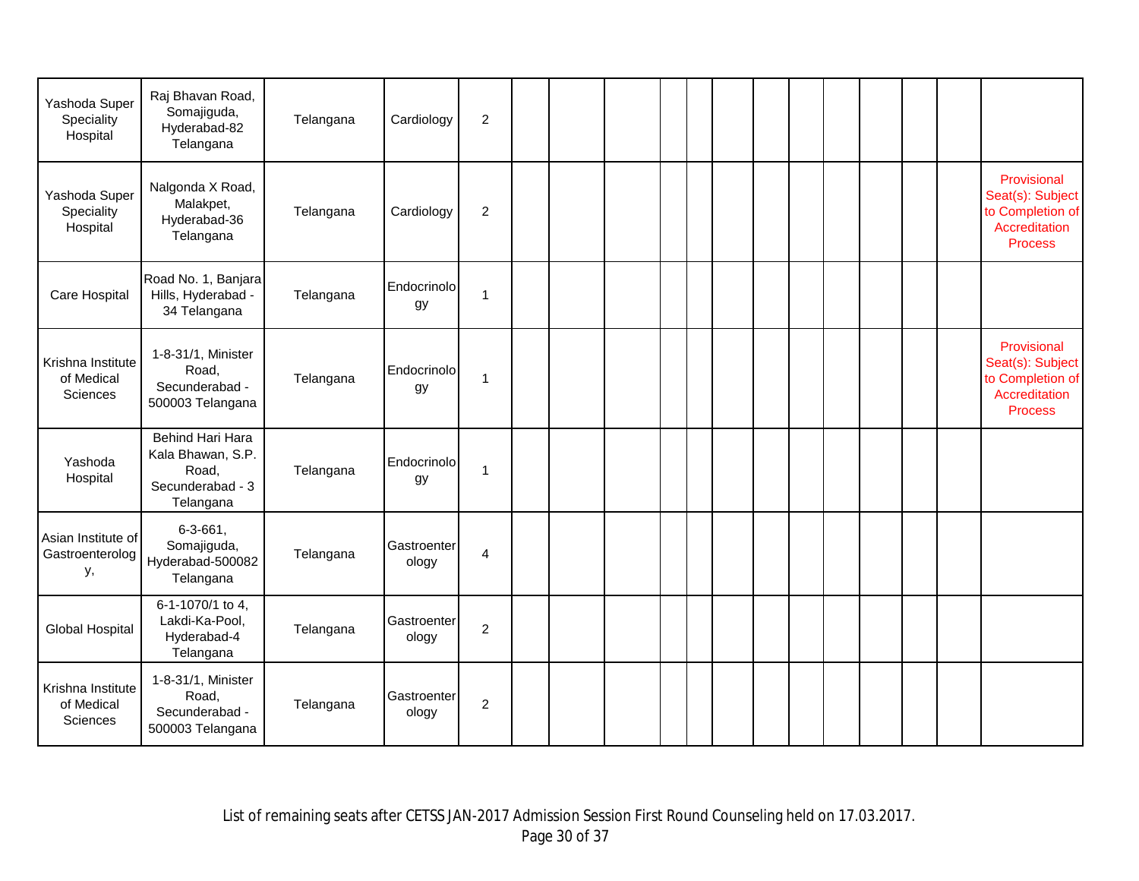| Yashoda Super<br>Speciality<br>Hospital     | Raj Bhavan Road,<br>Somajiguda,<br>Hyderabad-82<br>Telangana                    | Telangana | Cardiology           | $\overline{c}$ |  |  |  |  |  |  |                                                                                        |
|---------------------------------------------|---------------------------------------------------------------------------------|-----------|----------------------|----------------|--|--|--|--|--|--|----------------------------------------------------------------------------------------|
| Yashoda Super<br>Speciality<br>Hospital     | Nalgonda X Road,<br>Malakpet,<br>Hyderabad-36<br>Telangana                      | Telangana | Cardiology           | $\overline{2}$ |  |  |  |  |  |  | Provisional<br>Seat(s): Subject<br>to Completion of<br>Accreditation<br><b>Process</b> |
| Care Hospital                               | Road No. 1, Banjara<br>Hills, Hyderabad -<br>34 Telangana                       | Telangana | Endocrinolo<br>gу    | 1              |  |  |  |  |  |  |                                                                                        |
| Krishna Institute<br>of Medical<br>Sciences | 1-8-31/1, Minister<br>Road,<br>Secunderabad -<br>500003 Telangana               | Telangana | Endocrinolo<br>gу    | 1              |  |  |  |  |  |  | Provisional<br>Seat(s): Subject<br>to Completion of<br>Accreditation<br><b>Process</b> |
| Yashoda<br>Hospital                         | Behind Hari Hara<br>Kala Bhawan, S.P.<br>Road,<br>Secunderabad - 3<br>Telangana | Telangana | Endocrinolo<br>gу    | 1              |  |  |  |  |  |  |                                                                                        |
| Asian Institute of<br>Gastroenterolog<br>у, | $6 - 3 - 661$ ,<br>Somajiguda,<br>Hyderabad-500082<br>Telangana                 | Telangana | Gastroenter<br>ology | 4              |  |  |  |  |  |  |                                                                                        |
| <b>Global Hospital</b>                      | 6-1-1070/1 to 4,<br>Lakdi-Ka-Pool,<br>Hyderabad-4<br>Telangana                  | Telangana | Gastroenter<br>ology | $\overline{c}$ |  |  |  |  |  |  |                                                                                        |
| Krishna Institute<br>of Medical<br>Sciences | 1-8-31/1, Minister<br>Road,<br>Secunderabad -<br>500003 Telangana               | Telangana | Gastroenter<br>ology | $\overline{c}$ |  |  |  |  |  |  |                                                                                        |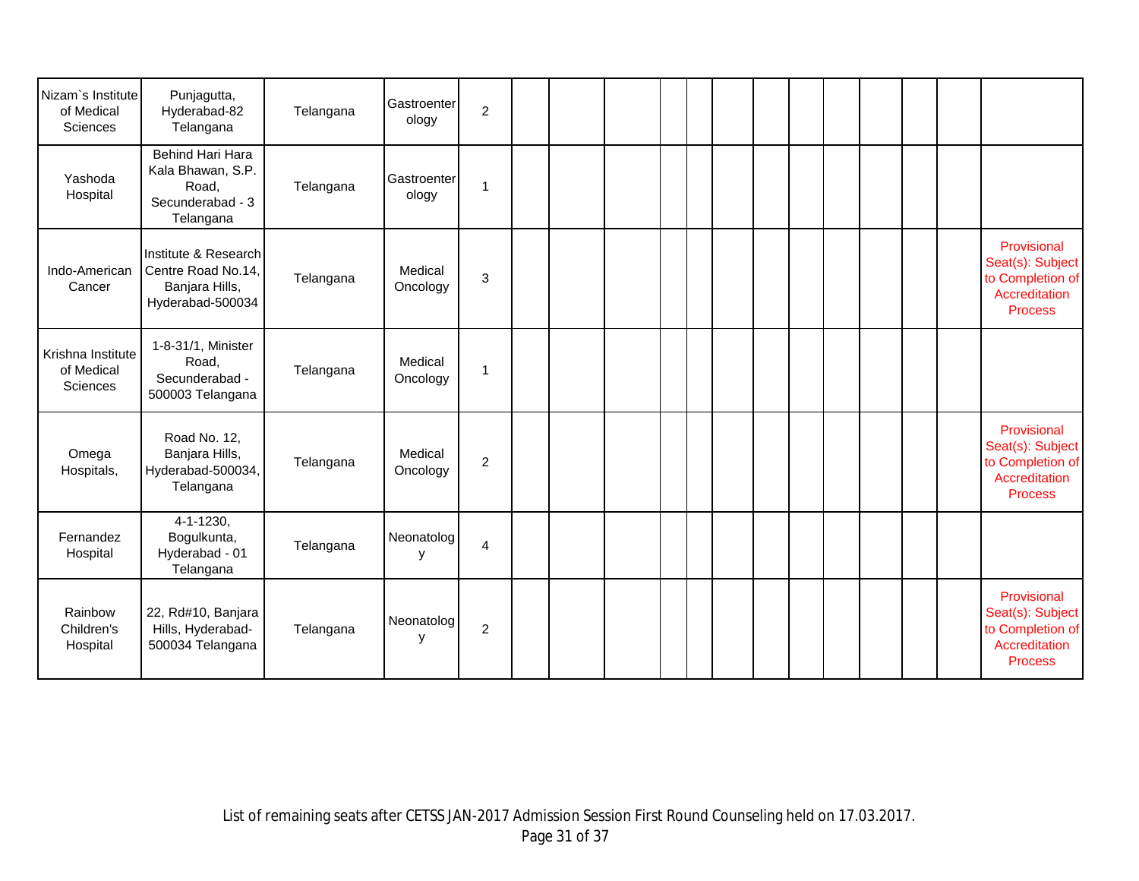| Nizam's Institute<br>of Medical<br>Sciences | Punjagutta,<br>Hyderabad-82<br>Telangana                                         | Telangana | Gastroenter<br>ology | $\overline{c}$          |  |  |  |  |  |  |                                                                                        |
|---------------------------------------------|----------------------------------------------------------------------------------|-----------|----------------------|-------------------------|--|--|--|--|--|--|----------------------------------------------------------------------------------------|
| Yashoda<br>Hospital                         | Behind Hari Hara<br>Kala Bhawan, S.P.<br>Road,<br>Secunderabad - 3<br>Telangana  | Telangana | Gastroenter<br>ology | 1                       |  |  |  |  |  |  |                                                                                        |
| Indo-American<br>Cancer                     | Institute & Research<br>Centre Road No.14,<br>Banjara Hills,<br>Hyderabad-500034 | Telangana | Medical<br>Oncology  | 3                       |  |  |  |  |  |  | Provisional<br>Seat(s): Subject<br>to Completion of<br>Accreditation<br><b>Process</b> |
| Krishna Institute<br>of Medical<br>Sciences | 1-8-31/1, Minister<br>Road,<br>Secunderabad -<br>500003 Telangana                | Telangana | Medical<br>Oncology  | 1                       |  |  |  |  |  |  |                                                                                        |
| Omega<br>Hospitals,                         | Road No. 12,<br>Banjara Hills,<br>Hyderabad-500034,<br>Telangana                 | Telangana | Medical<br>Oncology  | $\overline{2}$          |  |  |  |  |  |  | Provisional<br>Seat(s): Subject<br>to Completion of<br>Accreditation<br><b>Process</b> |
| Fernandez<br>Hospital                       | $4 - 1 - 1230,$<br>Bogulkunta,<br>Hyderabad - 01<br>Telangana                    | Telangana | Neonatolog<br>У      | $\overline{\mathbf{4}}$ |  |  |  |  |  |  |                                                                                        |
| Rainbow<br>Children's<br>Hospital           | 22, Rd#10, Banjara<br>Hills, Hyderabad-<br>500034 Telangana                      | Telangana | Neonatolog<br>у      | $\overline{2}$          |  |  |  |  |  |  | Provisional<br>Seat(s): Subject<br>to Completion of<br>Accreditation<br><b>Process</b> |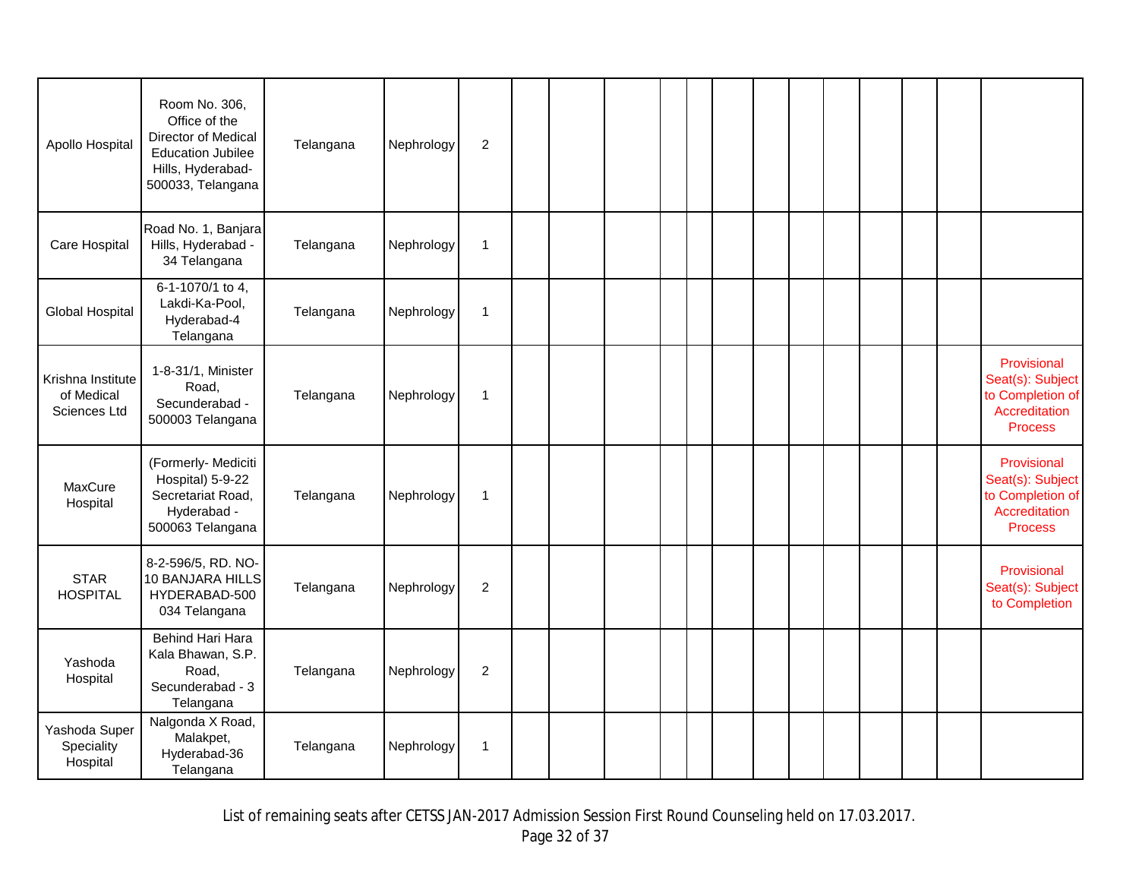| Apollo Hospital                                 | Room No. 306,<br>Office of the<br>Director of Medical<br><b>Education Jubilee</b><br>Hills, Hyderabad-<br>500033, Telangana | Telangana | Nephrology | $\overline{2}$ |  |  |  |  |  |  |                                                                                        |
|-------------------------------------------------|-----------------------------------------------------------------------------------------------------------------------------|-----------|------------|----------------|--|--|--|--|--|--|----------------------------------------------------------------------------------------|
| Care Hospital                                   | Road No. 1, Banjara<br>Hills, Hyderabad -<br>34 Telangana                                                                   | Telangana | Nephrology | 1              |  |  |  |  |  |  |                                                                                        |
| Global Hospital                                 | 6-1-1070/1 to 4,<br>Lakdi-Ka-Pool,<br>Hyderabad-4<br>Telangana                                                              | Telangana | Nephrology | $\mathbf 1$    |  |  |  |  |  |  |                                                                                        |
| Krishna Institute<br>of Medical<br>Sciences Ltd | 1-8-31/1, Minister<br>Road,<br>Secunderabad -<br>500003 Telangana                                                           | Telangana | Nephrology | $\mathbf{1}$   |  |  |  |  |  |  | Provisional<br>Seat(s): Subject<br>to Completion of<br>Accreditation<br><b>Process</b> |
| MaxCure<br>Hospital                             | (Formerly- Mediciti<br>Hospital) 5-9-22<br>Secretariat Road,<br>Hyderabad -<br>500063 Telangana                             | Telangana | Nephrology | $\mathbf 1$    |  |  |  |  |  |  | Provisional<br>Seat(s): Subject<br>to Completion of<br>Accreditation<br><b>Process</b> |
| <b>STAR</b><br><b>HOSPITAL</b>                  | 8-2-596/5, RD. NO-<br>10 BANJARA HILLS<br>HYDERABAD-500<br>034 Telangana                                                    | Telangana | Nephrology | $\overline{c}$ |  |  |  |  |  |  | Provisional<br>Seat(s): Subject<br>to Completion                                       |
| Yashoda<br>Hospital                             | Behind Hari Hara<br>Kala Bhawan, S.P.<br>Road,<br>Secunderabad - 3<br>Telangana                                             | Telangana | Nephrology | 2              |  |  |  |  |  |  |                                                                                        |
| Yashoda Super<br>Speciality<br>Hospital         | Nalgonda X Road,<br>Malakpet,<br>Hyderabad-36<br>Telangana                                                                  | Telangana | Nephrology | $\mathbf{1}$   |  |  |  |  |  |  |                                                                                        |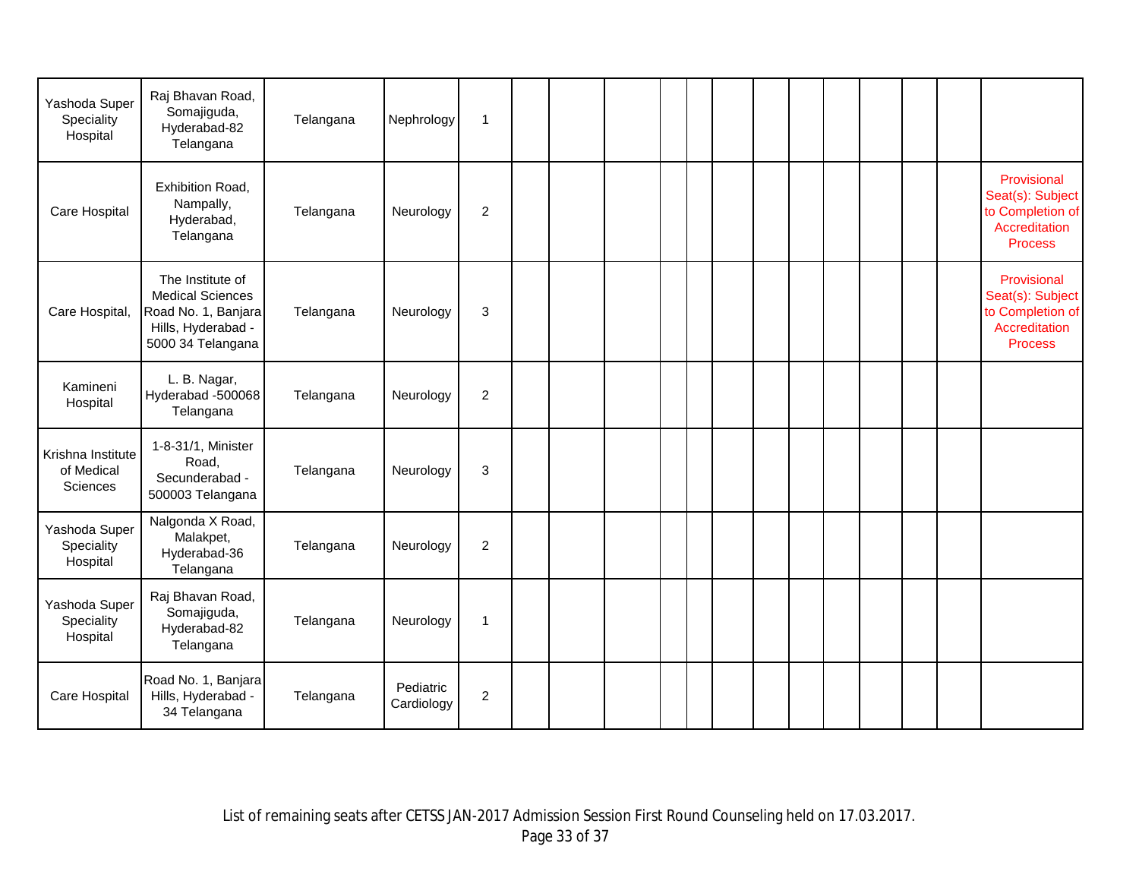| Yashoda Super<br>Speciality<br>Hospital     | Raj Bhavan Road,<br>Somajiguda,<br>Hyderabad-82<br>Telangana                                                  | Telangana | Nephrology              | $\mathbf{1}$     |  |  |  |  |  |  |                                                                                        |
|---------------------------------------------|---------------------------------------------------------------------------------------------------------------|-----------|-------------------------|------------------|--|--|--|--|--|--|----------------------------------------------------------------------------------------|
| Care Hospital                               | Exhibition Road,<br>Nampally,<br>Hyderabad,<br>Telangana                                                      | Telangana | Neurology               | $\overline{2}$   |  |  |  |  |  |  | Provisional<br>Seat(s): Subject<br>to Completion of<br>Accreditation<br><b>Process</b> |
| Care Hospital,                              | The Institute of<br><b>Medical Sciences</b><br>Road No. 1, Banjara<br>Hills, Hyderabad -<br>5000 34 Telangana | Telangana | Neurology               | 3                |  |  |  |  |  |  | Provisional<br>Seat(s): Subject<br>to Completion of<br>Accreditation<br><b>Process</b> |
| Kamineni<br>Hospital                        | L. B. Nagar,<br>Hyderabad -500068<br>Telangana                                                                | Telangana | Neurology               | $\overline{c}$   |  |  |  |  |  |  |                                                                                        |
| Krishna Institute<br>of Medical<br>Sciences | 1-8-31/1, Minister<br>Road,<br>Secunderabad -<br>500003 Telangana                                             | Telangana | Neurology               | 3                |  |  |  |  |  |  |                                                                                        |
| Yashoda Super<br>Speciality<br>Hospital     | Nalgonda X Road,<br>Malakpet,<br>Hyderabad-36<br>Telangana                                                    | Telangana | Neurology               | $\overline{c}$   |  |  |  |  |  |  |                                                                                        |
| Yashoda Super<br>Speciality<br>Hospital     | Raj Bhavan Road,<br>Somajiguda,<br>Hyderabad-82<br>Telangana                                                  | Telangana | Neurology               | $\mathbf{1}$     |  |  |  |  |  |  |                                                                                        |
| Care Hospital                               | Road No. 1, Banjara<br>Hills, Hyderabad -<br>34 Telangana                                                     | Telangana | Pediatric<br>Cardiology | $\boldsymbol{2}$ |  |  |  |  |  |  |                                                                                        |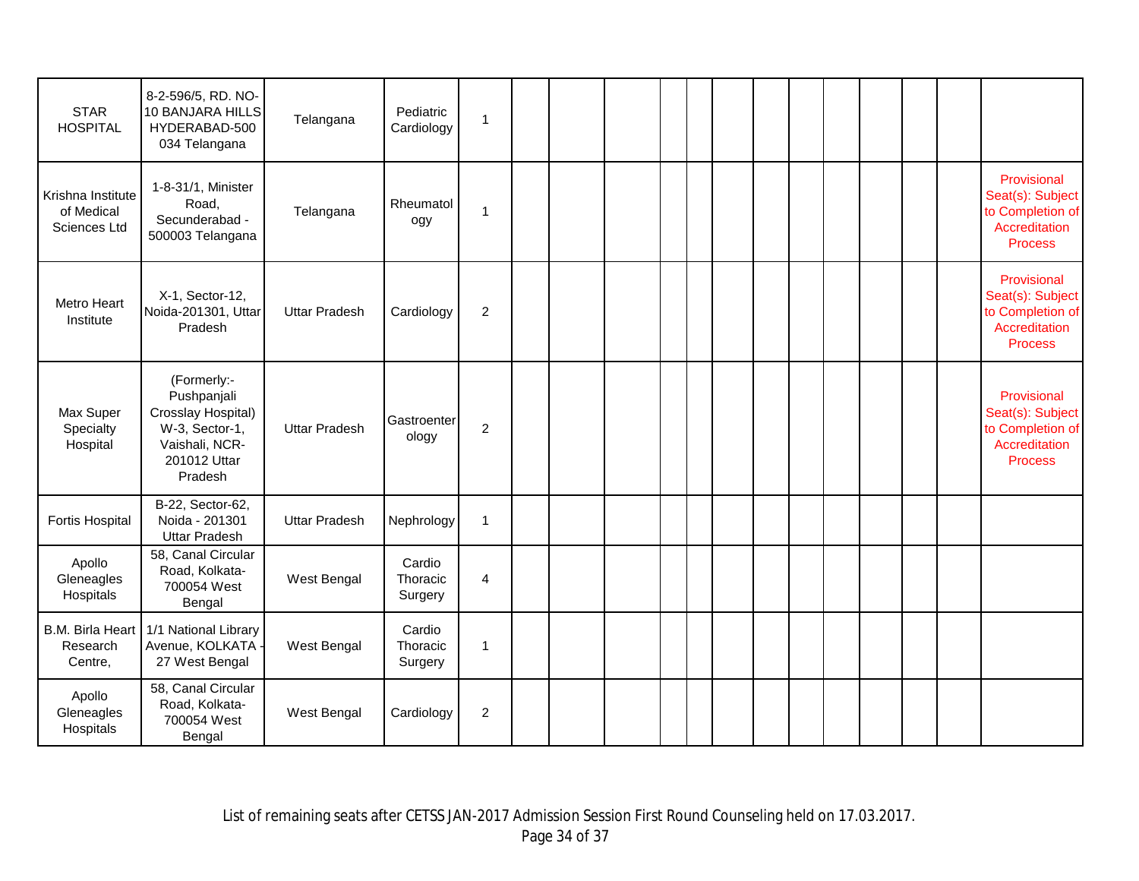| <b>STAR</b><br><b>HOSPITAL</b>                  | 8-2-596/5, RD. NO-<br>10 BANJARA HILLS<br>HYDERABAD-500<br>034 Telangana                                        | Telangana            | Pediatric<br>Cardiology       | $\mathbf{1}$   |  |  |  |  |  |  |                                                                                        |
|-------------------------------------------------|-----------------------------------------------------------------------------------------------------------------|----------------------|-------------------------------|----------------|--|--|--|--|--|--|----------------------------------------------------------------------------------------|
| Krishna Institute<br>of Medical<br>Sciences Ltd | 1-8-31/1, Minister<br>Road,<br>Secunderabad -<br>500003 Telangana                                               | Telangana            | Rheumatol<br>ogy              | 1              |  |  |  |  |  |  | Provisional<br>Seat(s): Subject<br>to Completion of<br>Accreditation<br><b>Process</b> |
| Metro Heart<br>Institute                        | X-1, Sector-12,<br>Noida-201301, Uttar<br>Pradesh                                                               | <b>Uttar Pradesh</b> | Cardiology                    | 2              |  |  |  |  |  |  | Provisional<br>Seat(s): Subject<br>to Completion of<br>Accreditation<br><b>Process</b> |
| Max Super<br>Specialty<br>Hospital              | (Formerly:-<br>Pushpanjali<br>Crosslay Hospital)<br>W-3, Sector-1,<br>Vaishali, NCR-<br>201012 Uttar<br>Pradesh | <b>Uttar Pradesh</b> | Gastroenter<br>ology          | $\overline{c}$ |  |  |  |  |  |  | Provisional<br>Seat(s): Subject<br>to Completion of<br>Accreditation<br><b>Process</b> |
| <b>Fortis Hospital</b>                          | B-22, Sector-62,<br>Noida - 201301<br><b>Uttar Pradesh</b>                                                      | <b>Uttar Pradesh</b> | Nephrology                    | $\mathbf{1}$   |  |  |  |  |  |  |                                                                                        |
| Apollo<br>Gleneagles<br>Hospitals               | 58, Canal Circular<br>Road, Kolkata-<br>700054 West<br>Bengal                                                   | West Bengal          | Cardio<br>Thoracic<br>Surgery | $\overline{4}$ |  |  |  |  |  |  |                                                                                        |
| <b>B.M. Birla Heart</b><br>Research<br>Centre,  | 1/1 National Library<br>Avenue, KOLKATA -<br>27 West Bengal                                                     | West Bengal          | Cardio<br>Thoracic<br>Surgery | $\mathbf{1}$   |  |  |  |  |  |  |                                                                                        |
| Apollo<br>Gleneagles<br>Hospitals               | 58, Canal Circular<br>Road, Kolkata-<br>700054 West<br>Bengal                                                   | West Bengal          | Cardiology                    | $\overline{c}$ |  |  |  |  |  |  |                                                                                        |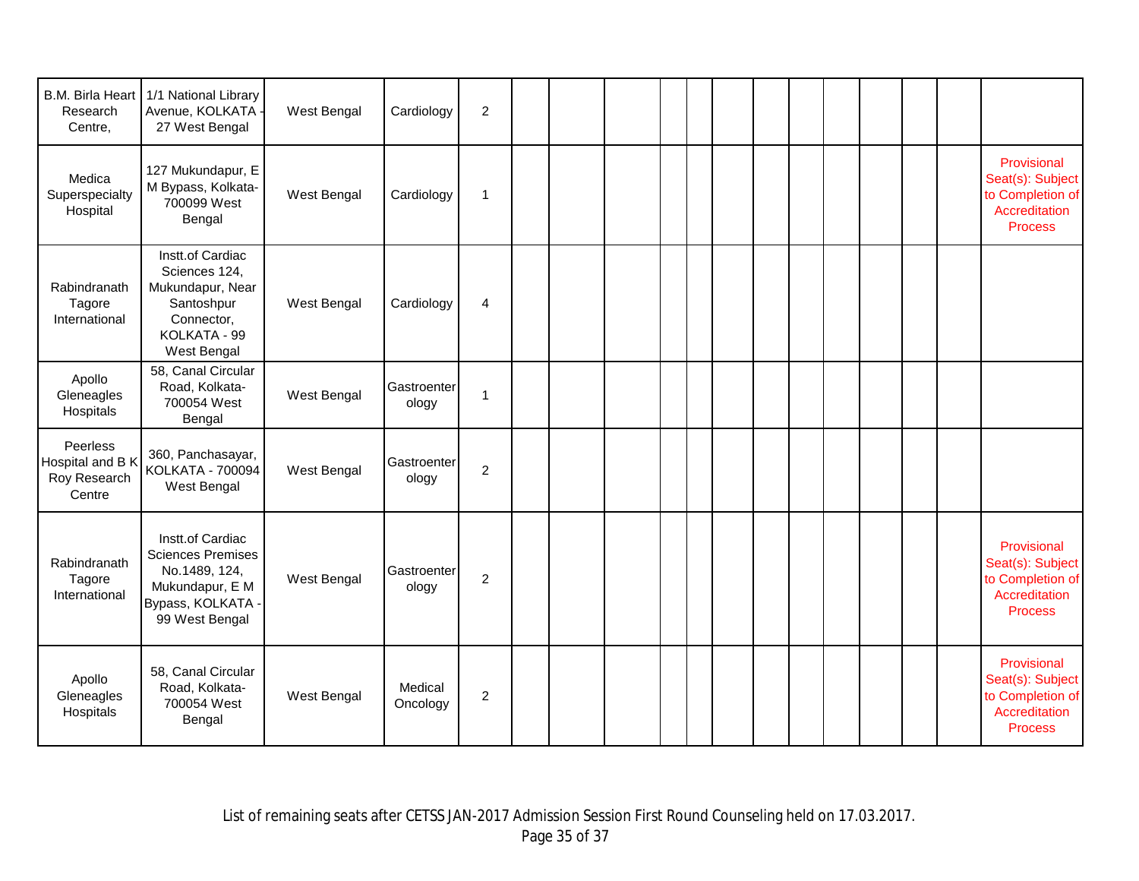| B.M. Birla Heart<br>Research<br>Centre,                | 1/1 National Library<br>Avenue, KOLKATA<br>27 West Bengal                                                               | West Bengal | Cardiology           | $\overline{c}$   |  |  |  |  |  |  |                                                                                        |
|--------------------------------------------------------|-------------------------------------------------------------------------------------------------------------------------|-------------|----------------------|------------------|--|--|--|--|--|--|----------------------------------------------------------------------------------------|
| Medica<br>Superspecialty<br>Hospital                   | 127 Mukundapur, E<br>M Bypass, Kolkata-<br>700099 West<br>Bengal                                                        | West Bengal | Cardiology           | 1                |  |  |  |  |  |  | Provisional<br>Seat(s): Subject<br>to Completion of<br>Accreditation<br><b>Process</b> |
| Rabindranath<br>Tagore<br>International                | Instt.of Cardiac<br>Sciences 124,<br>Mukundapur, Near<br>Santoshpur<br>Connector,<br>KOLKATA - 99<br>West Bengal        | West Bengal | Cardiology           | 4                |  |  |  |  |  |  |                                                                                        |
| Apollo<br>Gleneagles<br>Hospitals                      | 58, Canal Circular<br>Road, Kolkata-<br>700054 West<br>Bengal                                                           | West Bengal | Gastroenter<br>ology | $\mathbf{1}$     |  |  |  |  |  |  |                                                                                        |
| Peerless<br>Hospital and B K<br>Roy Research<br>Centre | 360, Panchasayar,<br>KOLKATA - 700094<br>West Bengal                                                                    | West Bengal | Gastroenter<br>ology | $\overline{2}$   |  |  |  |  |  |  |                                                                                        |
| Rabindranath<br>Tagore<br>International                | Instt.of Cardiac<br><b>Sciences Premises</b><br>No.1489, 124,<br>Mukundapur, E M<br>Bypass, KOLKATA -<br>99 West Bengal | West Bengal | Gastroenter<br>ology | $\overline{2}$   |  |  |  |  |  |  | Provisional<br>Seat(s): Subject<br>to Completion of<br>Accreditation<br><b>Process</b> |
| Apollo<br>Gleneagles<br>Hospitals                      | 58, Canal Circular<br>Road, Kolkata-<br>700054 West<br>Bengal                                                           | West Bengal | Medical<br>Oncology  | $\boldsymbol{2}$ |  |  |  |  |  |  | Provisional<br>Seat(s): Subject<br>to Completion of<br>Accreditation<br><b>Process</b> |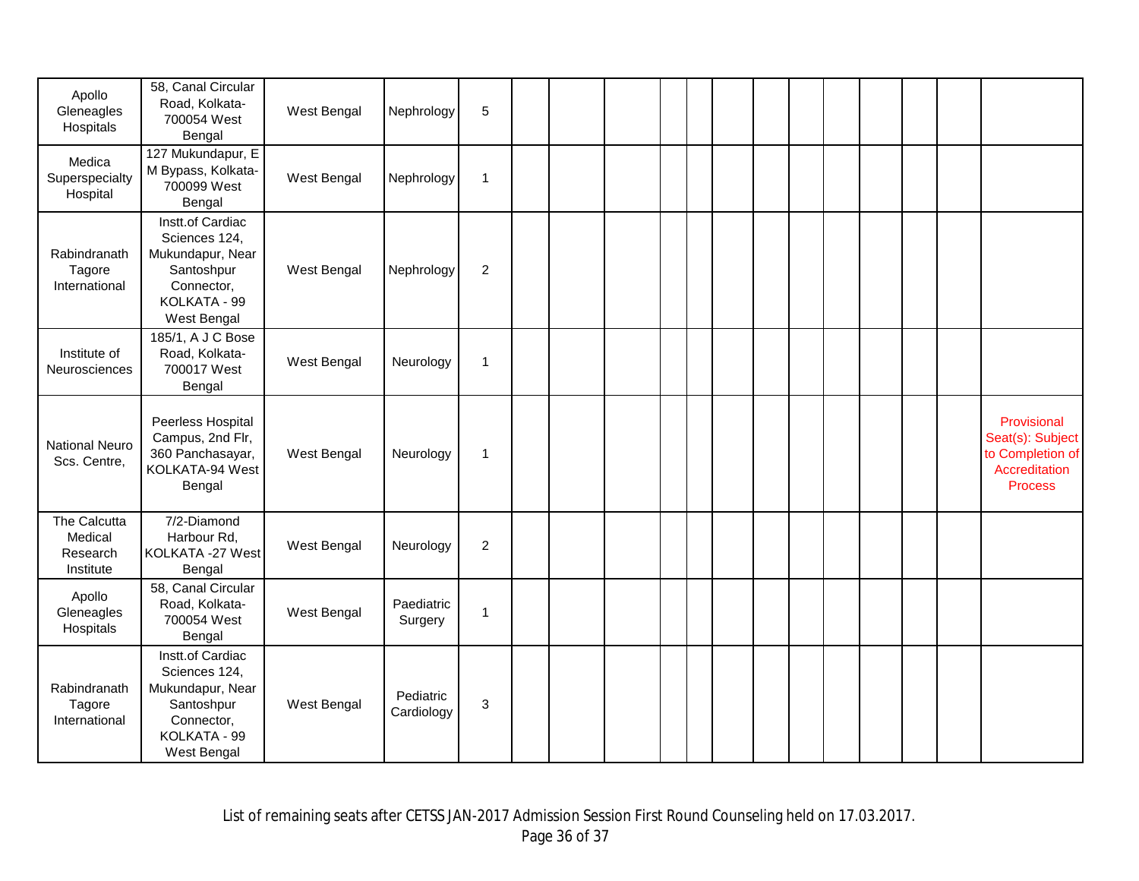| Apollo<br>Gleneagles<br>Hospitals                | 58, Canal Circular<br>Road, Kolkata-<br>700054 West<br>Bengal                                                    | West Bengal | Nephrology              | 5                |  |  |  |  |  |  |                                                                                        |
|--------------------------------------------------|------------------------------------------------------------------------------------------------------------------|-------------|-------------------------|------------------|--|--|--|--|--|--|----------------------------------------------------------------------------------------|
| Medica<br>Superspecialty<br>Hospital             | 127 Mukundapur, E<br>M Bypass, Kolkata-<br>700099 West<br>Bengal                                                 | West Bengal | Nephrology              | $\mathbf{1}$     |  |  |  |  |  |  |                                                                                        |
| Rabindranath<br>Tagore<br>International          | Instt.of Cardiac<br>Sciences 124,<br>Mukundapur, Near<br>Santoshpur<br>Connector,<br>KOLKATA - 99<br>West Bengal | West Bengal | Nephrology              | $\overline{c}$   |  |  |  |  |  |  |                                                                                        |
| Institute of<br>Neurosciences                    | 185/1, A J C Bose<br>Road, Kolkata-<br>700017 West<br>Bengal                                                     | West Bengal | Neurology               | $\mathbf{1}$     |  |  |  |  |  |  |                                                                                        |
| <b>National Neuro</b><br>Scs. Centre,            | Peerless Hospital<br>Campus, 2nd Flr,<br>360 Panchasayar,<br>KOLKATA-94 West<br>Bengal                           | West Bengal | Neurology               | 1                |  |  |  |  |  |  | Provisional<br>Seat(s): Subject<br>to Completion of<br>Accreditation<br><b>Process</b> |
| The Calcutta<br>Medical<br>Research<br>Institute | 7/2-Diamond<br>Harbour Rd,<br>KOLKATA -27 West<br>Bengal                                                         | West Bengal | Neurology               | $\boldsymbol{2}$ |  |  |  |  |  |  |                                                                                        |
| Apollo<br>Gleneagles<br>Hospitals                | 58, Canal Circular<br>Road, Kolkata-<br>700054 West<br>Bengal                                                    | West Bengal | Paediatric<br>Surgery   | 1                |  |  |  |  |  |  |                                                                                        |
| Rabindranath<br>Tagore<br>International          | Instt.of Cardiac<br>Sciences 124,<br>Mukundapur, Near<br>Santoshpur<br>Connector,<br>KOLKATA - 99<br>West Bengal | West Bengal | Pediatric<br>Cardiology | 3                |  |  |  |  |  |  |                                                                                        |